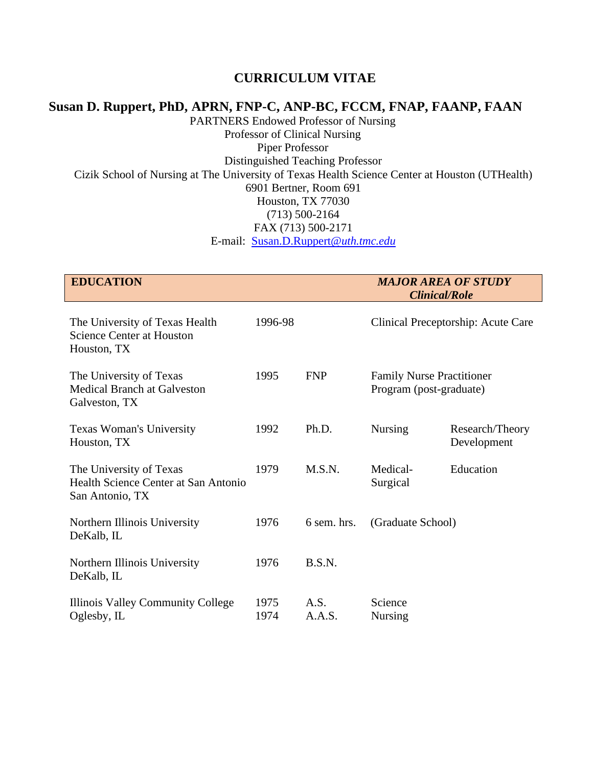## **CURRICULUM VITAE**

## **Susan D. Ruppert, PhD, APRN, FNP-C, ANP-BC, FCCM, FNAP, FAANP, FAAN**

PARTNERS Endowed Professor of Nursing Professor of Clinical Nursing Piper Professor Distinguished Teaching Professor Cizik School of Nursing at The University of Texas Health Science Center at Houston (UTHealth) 6901 Bertner, Room 691 Houston, TX 77030 (713) 500-2164 FAX (713) 500-2171 E-mail: [Susan.D.Ruppert@](mailto:Susan.D.Ruppert@uth.tmc.edu)*uth.tmc.edu*

| <b>EDUCATION</b>                                                                   |              |                | <b>MAJOR AREA OF STUDY</b><br><b>Clinical/Role</b>          |                                    |
|------------------------------------------------------------------------------------|--------------|----------------|-------------------------------------------------------------|------------------------------------|
| The University of Texas Health<br><b>Science Center at Houston</b><br>Houston, TX  | 1996-98      |                |                                                             | Clinical Preceptorship: Acute Care |
| The University of Texas<br><b>Medical Branch at Galveston</b><br>Galveston, TX     | 1995         | <b>FNP</b>     | <b>Family Nurse Practitioner</b><br>Program (post-graduate) |                                    |
| Texas Woman's University<br>Houston, TX                                            | 1992         | Ph.D.          | Nursing                                                     | Research/Theory<br>Development     |
| The University of Texas<br>Health Science Center at San Antonio<br>San Antonio, TX | 1979         | M.S.N.         | Medical-<br>Surgical                                        | Education                          |
| Northern Illinois University<br>DeKalb, IL                                         | 1976         | 6 sem. hrs.    | (Graduate School)                                           |                                    |
| Northern Illinois University<br>DeKalb, IL                                         | 1976         | B.S.N.         |                                                             |                                    |
| Illinois Valley Community College<br>Oglesby, IL                                   | 1975<br>1974 | A.S.<br>A.A.S. | Science<br>Nursing                                          |                                    |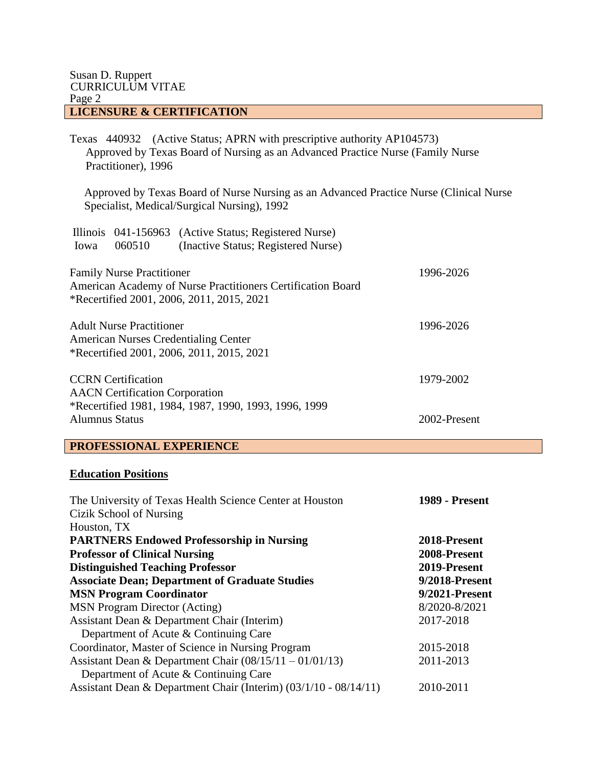Texas 440932 (Active Status; APRN with prescriptive authority AP104573) Approved by Texas Board of Nursing as an Advanced Practice Nurse (Family Nurse Practitioner), 1996

 Approved by Texas Board of Nurse Nursing as an Advanced Practice Nurse (Clinical Nurse Specialist, Medical/Surgical Nursing), 1992

| Iowa                  | 060510                                                             | Illinois 041-156963 (Active Status; Registered Nurse)<br>(Inactive Status; Registered Nurse)             |              |
|-----------------------|--------------------------------------------------------------------|----------------------------------------------------------------------------------------------------------|--------------|
|                       | <b>Family Nurse Practitioner</b>                                   | American Academy of Nurse Practitioners Certification Board<br>*Recertified 2001, 2006, 2011, 2015, 2021 | 1996-2026    |
|                       | <b>Adult Nurse Practitioner</b>                                    | <b>American Nurses Credentialing Center</b><br>*Recertified 2001, 2006, 2011, 2015, 2021                 | 1996-2026    |
|                       | <b>CCRN</b> Certification<br><b>AACN</b> Certification Corporation |                                                                                                          | 1979-2002    |
| <b>Alumnus Status</b> |                                                                    | *Recertified 1981, 1984, 1987, 1990, 1993, 1996, 1999                                                    | 2002-Present |

### **PROFESSIONAL EXPERIENCE**

#### **Education Positions**

| The University of Texas Health Science Center at Houston         | <b>1989 - Present</b> |
|------------------------------------------------------------------|-----------------------|
| Cizik School of Nursing                                          |                       |
| Houston, TX                                                      |                       |
| <b>PARTNERS Endowed Professorship in Nursing</b>                 | 2018-Present          |
| <b>Professor of Clinical Nursing</b>                             | 2008-Present          |
| <b>Distinguished Teaching Professor</b>                          | 2019-Present          |
| <b>Associate Dean; Department of Graduate Studies</b>            | 9/2018-Present        |
| <b>MSN Program Coordinator</b>                                   | 9/2021-Present        |
| <b>MSN</b> Program Director (Acting)                             | 8/2020-8/2021         |
| Assistant Dean & Department Chair (Interim)                      | 2017-2018             |
| Department of Acute & Continuing Care                            |                       |
| Coordinator, Master of Science in Nursing Program                | 2015-2018             |
| Assistant Dean & Department Chair $(08/15/11 - 01/01/13)$        | 2011-2013             |
| Department of Acute & Continuing Care                            |                       |
| Assistant Dean & Department Chair (Interim) (03/1/10 - 08/14/11) | 2010-2011             |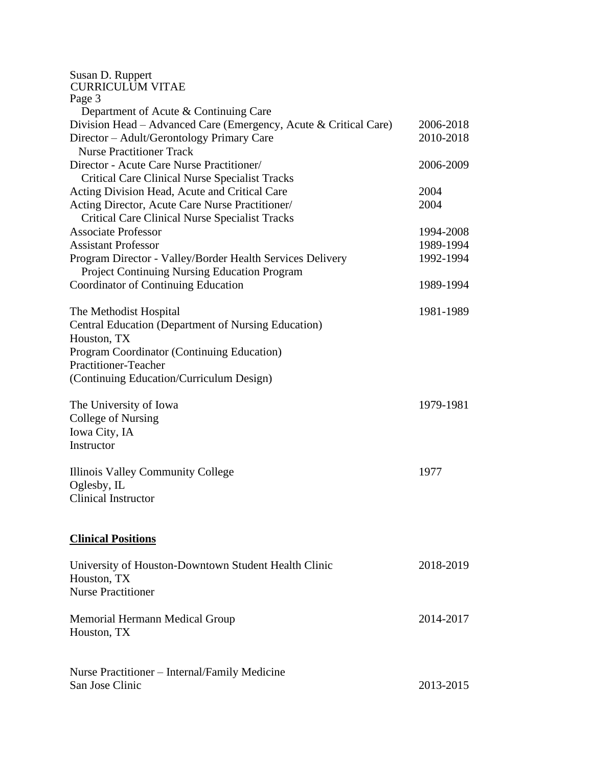| Susan D. Ruppert<br><b>CURRICULUM VITAE</b>                      |           |
|------------------------------------------------------------------|-----------|
| Page 3                                                           |           |
| Department of Acute & Continuing Care                            |           |
| Division Head – Advanced Care (Emergency, Acute & Critical Care) | 2006-2018 |
| Director - Adult/Gerontology Primary Care                        | 2010-2018 |
| <b>Nurse Practitioner Track</b>                                  |           |
| Director - Acute Care Nurse Practitioner/                        | 2006-2009 |
| <b>Critical Care Clinical Nurse Specialist Tracks</b>            |           |
| Acting Division Head, Acute and Critical Care                    | 2004      |
| Acting Director, Acute Care Nurse Practitioner/                  | 2004      |
| <b>Critical Care Clinical Nurse Specialist Tracks</b>            |           |
| <b>Associate Professor</b>                                       | 1994-2008 |
| <b>Assistant Professor</b>                                       | 1989-1994 |
| Program Director - Valley/Border Health Services Delivery        | 1992-1994 |
| Project Continuing Nursing Education Program                     |           |
| <b>Coordinator of Continuing Education</b>                       | 1989-1994 |
| The Methodist Hospital                                           | 1981-1989 |
| <b>Central Education (Department of Nursing Education)</b>       |           |
| Houston, TX                                                      |           |
| Program Coordinator (Continuing Education)                       |           |
| <b>Practitioner-Teacher</b>                                      |           |
| (Continuing Education/Curriculum Design)                         |           |
|                                                                  |           |
| The University of Iowa                                           | 1979-1981 |
| College of Nursing                                               |           |
| Iowa City, IA                                                    |           |
| Instructor                                                       |           |
| Illinois Valley Community College                                | 1977      |
| Oglesby, IL                                                      |           |
| <b>Clinical Instructor</b>                                       |           |
|                                                                  |           |
|                                                                  |           |
| <b>Clinical Positions</b>                                        |           |
| University of Houston-Downtown Student Health Clinic             | 2018-2019 |
| Houston, TX                                                      |           |
| <b>Nurse Practitioner</b>                                        |           |
|                                                                  |           |
| Memorial Hermann Medical Group                                   | 2014-2017 |
| Houston, TX                                                      |           |
|                                                                  |           |
|                                                                  |           |
| Nurse Practitioner – Internal/Family Medicine                    |           |
| San Jose Clinic                                                  | 2013-2015 |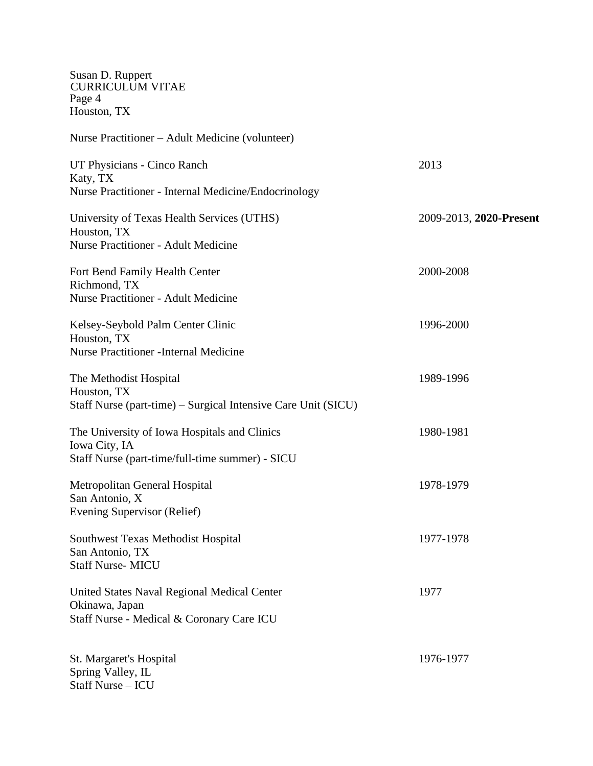Susan D. Ruppert CURRICULUM VITAE Page 4 Houston, TX

| Nurse Practitioner – Adult Medicine (volunteer)                                                                  |                         |
|------------------------------------------------------------------------------------------------------------------|-------------------------|
| UT Physicians - Cinco Ranch<br>Katy, TX<br>Nurse Practitioner - Internal Medicine/Endocrinology                  | 2013                    |
| University of Texas Health Services (UTHS)<br>Houston, TX<br><b>Nurse Practitioner - Adult Medicine</b>          | 2009-2013, 2020-Present |
| Fort Bend Family Health Center<br>Richmond, TX<br><b>Nurse Practitioner - Adult Medicine</b>                     | 2000-2008               |
| Kelsey-Seybold Palm Center Clinic<br>Houston, TX<br><b>Nurse Practitioner - Internal Medicine</b>                | 1996-2000               |
| The Methodist Hospital<br>Houston, TX<br>Staff Nurse (part-time) – Surgical Intensive Care Unit (SICU)           | 1989-1996               |
| The University of Iowa Hospitals and Clinics<br>Iowa City, IA<br>Staff Nurse (part-time/full-time summer) - SICU | 1980-1981               |
| Metropolitan General Hospital<br>San Antonio, X<br>Evening Supervisor (Relief)                                   | 1978-1979               |
| Southwest Texas Methodist Hospital<br>San Antonio, TX<br><b>Staff Nurse- MICU</b>                                | 1977-1978               |
| United States Naval Regional Medical Center<br>Okinawa, Japan<br>Staff Nurse - Medical & Coronary Care ICU       | 1977                    |
| St. Margaret's Hospital<br>Spring Valley, IL<br>Staff Nurse - ICU                                                | 1976-1977               |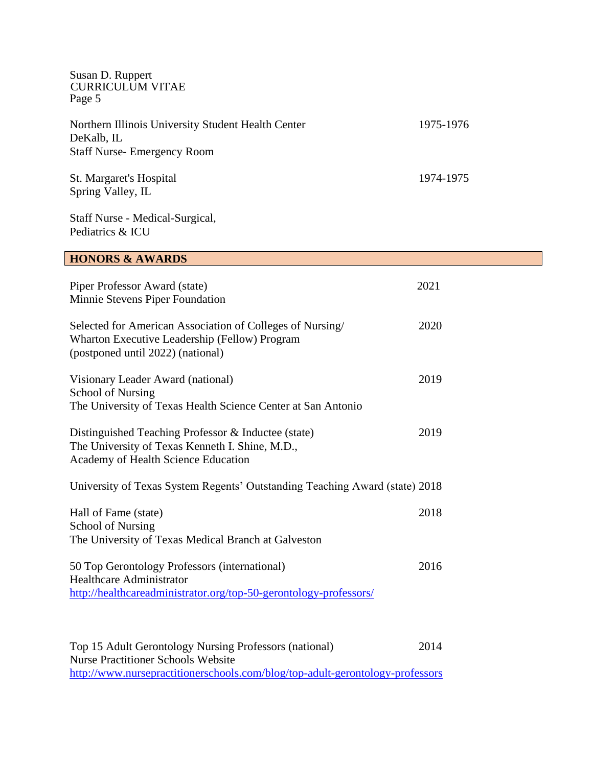| Susan D. Ruppert<br><b>CURRICULUM VITAE</b><br>Page 5                                                                                                 |           |
|-------------------------------------------------------------------------------------------------------------------------------------------------------|-----------|
| Northern Illinois University Student Health Center<br>DeKalb, IL<br><b>Staff Nurse-Emergency Room</b>                                                 | 1975-1976 |
| St. Margaret's Hospital<br>Spring Valley, IL                                                                                                          | 1974-1975 |
| Staff Nurse - Medical-Surgical,<br>Pediatrics & ICU                                                                                                   |           |
| <b>HONORS &amp; AWARDS</b>                                                                                                                            |           |
| Piper Professor Award (state)<br>Minnie Stevens Piper Foundation                                                                                      | 2021      |
| Selected for American Association of Colleges of Nursing/<br>Wharton Executive Leadership (Fellow) Program<br>(postponed until 2022) (national)       | 2020      |
| Visionary Leader Award (national)<br><b>School of Nursing</b><br>The University of Texas Health Science Center at San Antonio                         | 2019      |
| Distinguished Teaching Professor & Inductee (state)<br>The University of Texas Kenneth I. Shine, M.D.,<br>Academy of Health Science Education         | 2019      |
| University of Texas System Regents' Outstanding Teaching Award (state) 2018                                                                           |           |
| Hall of Fame (state)<br><b>School of Nursing</b><br>The University of Texas Medical Branch at Galveston                                               | 2018      |
| 50 Top Gerontology Professors (international)<br><b>Healthcare Administrator</b><br>http://healthcareadministrator.org/top-50-gerontology-professors/ | 2016      |
| Top 15 Adult Gerontology Nursing Professors (national)<br><b>Nurse Practitioner Schools Website</b>                                                   | 2014      |

<http://www.nursepractitionerschools.com/blog/top-adult-gerontology-professors>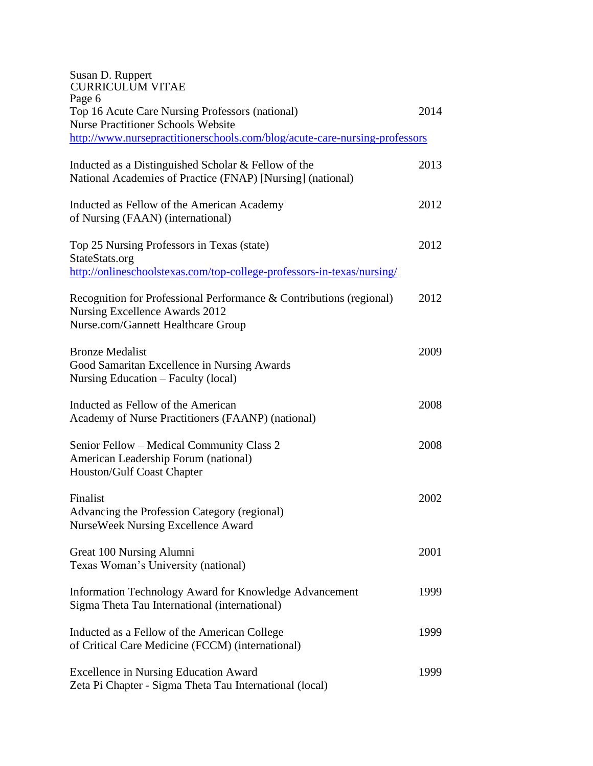| Susan D. Ruppert<br><b>CURRICULUM VITAE</b><br>Page 6                                                                                       |      |
|---------------------------------------------------------------------------------------------------------------------------------------------|------|
| Top 16 Acute Care Nursing Professors (national)                                                                                             | 2014 |
| <b>Nurse Practitioner Schools Website</b>                                                                                                   |      |
| http://www.nursepractitionerschools.com/blog/acute-care-nursing-professors                                                                  |      |
| Inducted as a Distinguished Scholar & Fellow of the<br>National Academies of Practice (FNAP) [Nursing] (national)                           | 2013 |
| Inducted as Fellow of the American Academy<br>of Nursing (FAAN) (international)                                                             | 2012 |
| Top 25 Nursing Professors in Texas (state)<br>StateStats.org                                                                                | 2012 |
| http://onlineschoolstexas.com/top-college-professors-in-texas/nursing/                                                                      |      |
| Recognition for Professional Performance & Contributions (regional)<br>Nursing Excellence Awards 2012<br>Nurse.com/Gannett Healthcare Group | 2012 |
| <b>Bronze Medalist</b><br>Good Samaritan Excellence in Nursing Awards<br>Nursing Education – Faculty (local)                                | 2009 |
| Inducted as Fellow of the American<br>Academy of Nurse Practitioners (FAANP) (national)                                                     | 2008 |
| Senior Fellow – Medical Community Class 2<br>American Leadership Forum (national)<br>Houston/Gulf Coast Chapter                             | 2008 |
| Finalist<br>Advancing the Profession Category (regional)<br><b>NurseWeek Nursing Excellence Award</b>                                       | 2002 |
| Great 100 Nursing Alumni<br>Texas Woman's University (national)                                                                             | 2001 |
| Information Technology Award for Knowledge Advancement<br>Sigma Theta Tau International (international)                                     | 1999 |
| Inducted as a Fellow of the American College<br>of Critical Care Medicine (FCCM) (international)                                            | 1999 |
| <b>Excellence in Nursing Education Award</b><br>Zeta Pi Chapter - Sigma Theta Tau International (local)                                     | 1999 |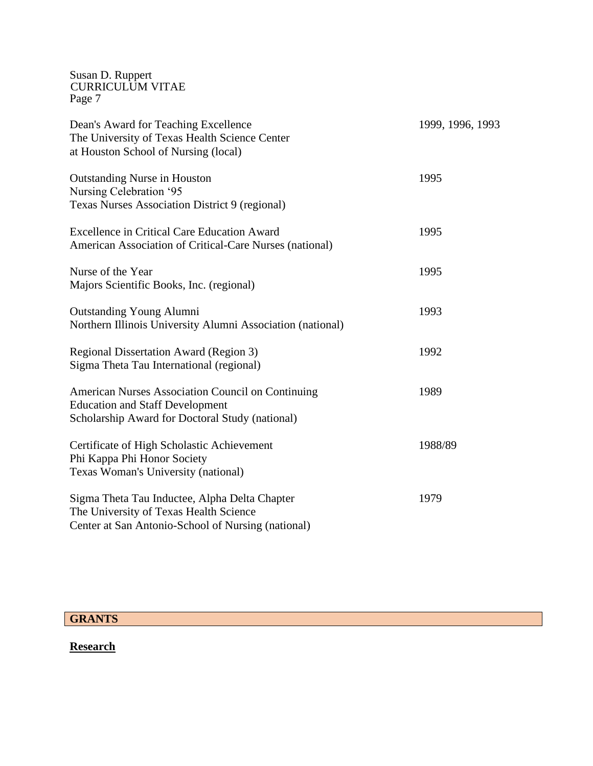| Dean's Award for Teaching Excellence<br>The University of Texas Health Science Center<br>at Houston School of Nursing (local)                         | 1999, 1996, 1993 |
|-------------------------------------------------------------------------------------------------------------------------------------------------------|------------------|
| <b>Outstanding Nurse in Houston</b><br>Nursing Celebration '95<br>Texas Nurses Association District 9 (regional)                                      | 1995             |
| <b>Excellence in Critical Care Education Award</b><br>American Association of Critical-Care Nurses (national)                                         | 1995             |
| Nurse of the Year<br>Majors Scientific Books, Inc. (regional)                                                                                         | 1995             |
| <b>Outstanding Young Alumni</b><br>Northern Illinois University Alumni Association (national)                                                         | 1993             |
| Regional Dissertation Award (Region 3)<br>Sigma Theta Tau International (regional)                                                                    | 1992             |
| <b>American Nurses Association Council on Continuing</b><br><b>Education and Staff Development</b><br>Scholarship Award for Doctoral Study (national) | 1989             |
| Certificate of High Scholastic Achievement<br>Phi Kappa Phi Honor Society<br>Texas Woman's University (national)                                      | 1988/89          |
| Sigma Theta Tau Inductee, Alpha Delta Chapter<br>The University of Texas Health Science<br>Center at San Antonio-School of Nursing (national)         | 1979             |

# **GRANTS**

# **Research**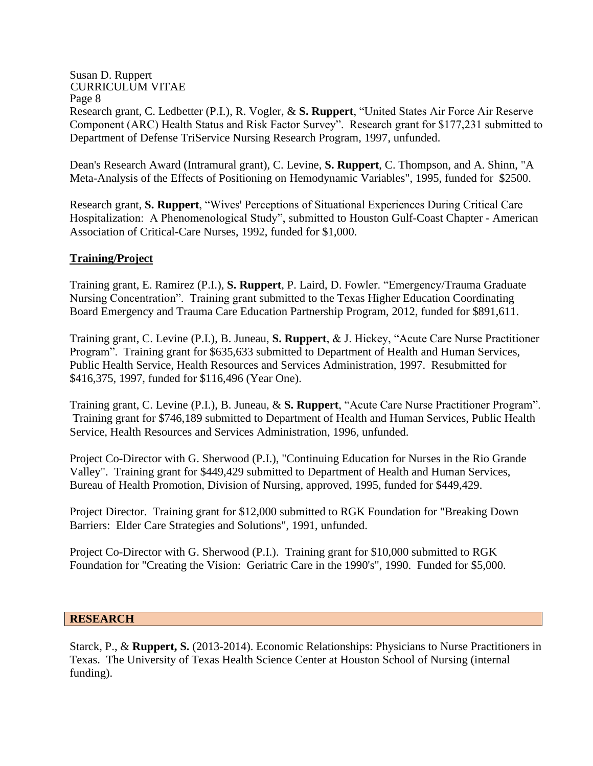#### Susan D. Ruppert CURRICULUM VITAE Page 8 Research grant, C. Ledbetter (P.I.), R. Vogler, & **S. Ruppert**, "United States Air Force Air Reserve Component (ARC) Health Status and Risk Factor Survey". Research grant for \$177,231 submitted to Department of Defense TriService Nursing Research Program, 1997, unfunded.

Dean's Research Award (Intramural grant), C. Levine, **S. Ruppert**, C. Thompson, and A. Shinn, "A Meta-Analysis of the Effects of Positioning on Hemodynamic Variables", 1995, funded for \$2500.

Research grant, **S. Ruppert**, "Wives' Perceptions of Situational Experiences During Critical Care Hospitalization: A Phenomenological Study", submitted to Houston Gulf-Coast Chapter - American Association of Critical-Care Nurses, 1992, funded for \$1,000.

## **Training/Project**

Training grant, E. Ramirez (P.I.), **S. Ruppert**, P. Laird, D. Fowler. "Emergency/Trauma Graduate Nursing Concentration". Training grant submitted to the Texas Higher Education Coordinating Board Emergency and Trauma Care Education Partnership Program, 2012, funded for \$891,611.

Training grant, C. Levine (P.I.), B. Juneau, **S. Ruppert**, & J. Hickey, "Acute Care Nurse Practitioner Program". Training grant for \$635,633 submitted to Department of Health and Human Services, Public Health Service, Health Resources and Services Administration, 1997. Resubmitted for \$416,375, 1997, funded for \$116,496 (Year One).

Training grant, C. Levine (P.I.), B. Juneau, & **S. Ruppert**, "Acute Care Nurse Practitioner Program". Training grant for \$746,189 submitted to Department of Health and Human Services, Public Health Service, Health Resources and Services Administration, 1996, unfunded.

Project Co-Director with G. Sherwood (P.I.), "Continuing Education for Nurses in the Rio Grande Valley". Training grant for \$449,429 submitted to Department of Health and Human Services, Bureau of Health Promotion, Division of Nursing, approved, 1995, funded for \$449,429.

Project Director. Training grant for \$12,000 submitted to RGK Foundation for "Breaking Down Barriers: Elder Care Strategies and Solutions", 1991, unfunded.

Project Co-Director with G. Sherwood (P.I.). Training grant for \$10,000 submitted to RGK Foundation for "Creating the Vision: Geriatric Care in the 1990's", 1990. Funded for \$5,000.

#### **RESEARCH**

Starck, P., & **Ruppert, S.** (2013-2014). Economic Relationships: Physicians to Nurse Practitioners in Texas. The University of Texas Health Science Center at Houston School of Nursing (internal funding).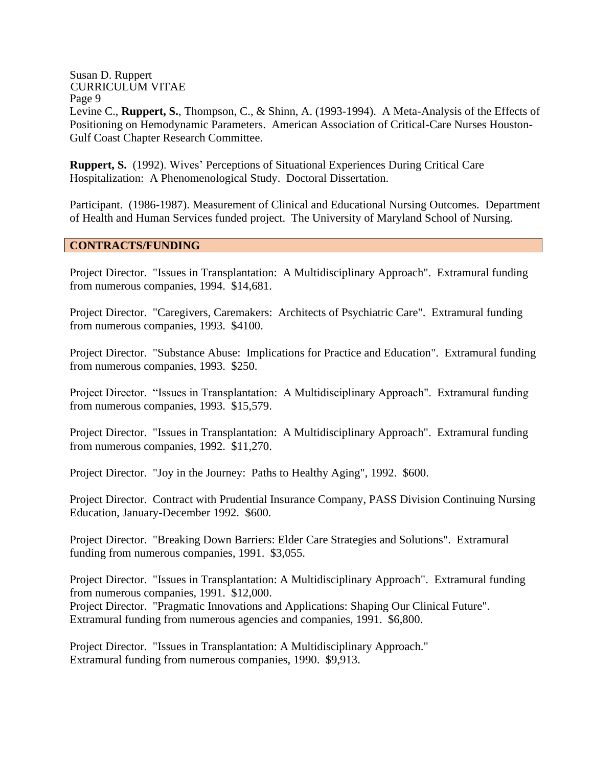### Page 9

Levine C., **Ruppert, S.**, Thompson, C., & Shinn, A. (1993-1994). A Meta-Analysis of the Effects of Positioning on Hemodynamic Parameters. American Association of Critical-Care Nurses Houston-Gulf Coast Chapter Research Committee.

**Ruppert, S.** (1992). Wives' Perceptions of Situational Experiences During Critical Care Hospitalization: A Phenomenological Study. Doctoral Dissertation.

Participant. (1986-1987). Measurement of Clinical and Educational Nursing Outcomes. Department of Health and Human Services funded project. The University of Maryland School of Nursing.

### **CONTRACTS/FUNDING**

Project Director. "Issues in Transplantation: A Multidisciplinary Approach". Extramural funding from numerous companies, 1994. \$14,681.

Project Director. "Caregivers, Caremakers: Architects of Psychiatric Care". Extramural funding from numerous companies, 1993. \$4100.

Project Director. "Substance Abuse: Implications for Practice and Education". Extramural funding from numerous companies, 1993. \$250.

Project Director. "Issues in Transplantation: A Multidisciplinary Approach". Extramural funding from numerous companies, 1993. \$15,579.

Project Director. "Issues in Transplantation: A Multidisciplinary Approach". Extramural funding from numerous companies, 1992. \$11,270.

Project Director. "Joy in the Journey: Paths to Healthy Aging", 1992. \$600.

Project Director. Contract with Prudential Insurance Company, PASS Division Continuing Nursing Education, January-December 1992. \$600.

Project Director. "Breaking Down Barriers: Elder Care Strategies and Solutions". Extramural funding from numerous companies, 1991. \$3,055.

Project Director. "Issues in Transplantation: A Multidisciplinary Approach". Extramural funding from numerous companies, 1991. \$12,000. Project Director. "Pragmatic Innovations and Applications: Shaping Our Clinical Future". Extramural funding from numerous agencies and companies, 1991. \$6,800.

Project Director. "Issues in Transplantation: A Multidisciplinary Approach." Extramural funding from numerous companies, 1990. \$9,913.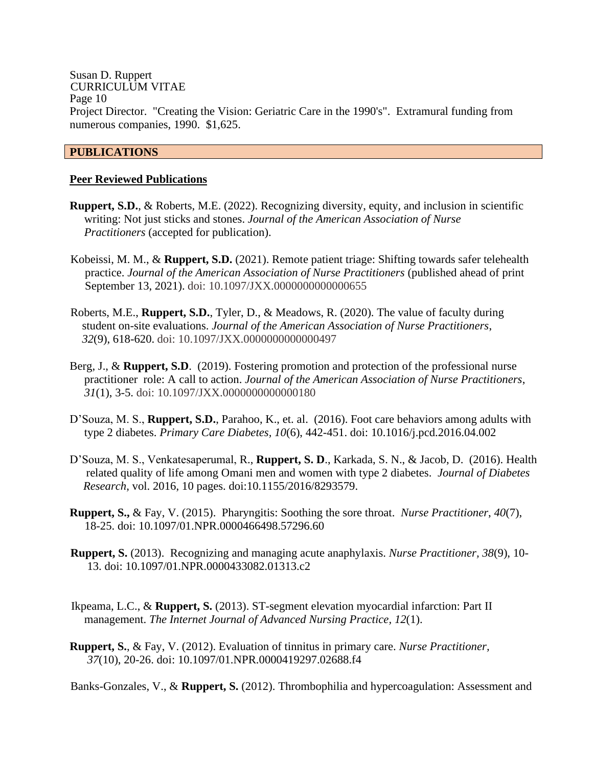Susan D. Ruppert CURRICULUM VITAE Page 10 Project Director. "Creating the Vision: Geriatric Care in the 1990's". Extramural funding from numerous companies, 1990. \$1,625.

### **PUBLICATIONS**

#### **Peer Reviewed Publications**

- **Ruppert, S.D.**, & Roberts, M.E. (2022). Recognizing diversity, equity, and inclusion in scientific writing: Not just sticks and stones. *Journal of the American Association of Nurse Practitioners* (accepted for publication).
- Kobeissi, M. M., & **Ruppert, S.D.** (2021). Remote patient triage: Shifting towards safer telehealth practice. *Journal of the American Association of Nurse Practitioners* (published ahead of print September 13, 2021). doi: 10.1097/JXX.0000000000000655
- Roberts, M.E., **Ruppert, S.D.**, Tyler, D., & Meadows, R. (2020). The value of faculty during student on-site evaluations. *Journal of the American Association of Nurse Practitioners*, *32*(9), 618-620. doi: 10.1097/JXX.0000000000000497
- Berg, J., & **Ruppert, S.D**. (2019). Fostering promotion and protection of the professional nurse practitioner role: A call to action. *Journal of the American Association of Nurse Practitioners*, *31*(1), 3-5. doi: 10.1097/JXX.0000000000000180
- D'Souza, M. S., **Ruppert, S.D.**, Parahoo, K., et. al. (2016). Foot care behaviors among adults with type 2 diabetes. *Primary Care Diabetes, 10*(6), 442-451. doi: [10.1016/j.pcd.2016.04.002](https://doi.org/10.1016/j.pcd.2016.04.002)
- D'Souza, M. S., Venkatesaperumal, R., **Ruppert, S. D**., Karkada, S. N., & Jacob, D. (2016). Health related quality of life among Omani men and women with type 2 diabetes. *Journal of Diabetes Research*, vol. 2016, 10 pages. doi:10.1155/2016/8293579.
- **Ruppert, S.,** & Fay, V. (2015). Pharyngitis: Soothing the sore throat. *Nurse Practitioner*, *40*(7), 18-25. doi: [10.1097/01.NPR.0000466498.57296.60](https://doi.org/10.1097/01.npr.0000466498.57296.60)
- **Ruppert, S.** (2013). Recognizing and managing acute anaphylaxis. *Nurse Practitioner, 38*(9), 10- 13. doi: [10.1097/01.NPR.0000433082.01313.c2](https://doi.org/10.1097/01.npr.0000433082.01313.c2)
- Ikpeama, L.C., & **Ruppert, S.** (2013). ST-segment elevation myocardial infarction: Part II management. *The Internet Journal of Advanced Nursing Practice, 12*(1).
- **Ruppert, S.**, & Fay, V. (2012). Evaluation of tinnitus in primary care. *Nurse Practitioner, 37*(10), 20-26. doi: [10.1097/01.NPR.0000419297.02688.f4](https://doi.org/10.1097/01.npr.0000419297.02688.f4)

Banks-Gonzales, V., & **Ruppert, S.** (2012). Thrombophilia and hypercoagulation: Assessment and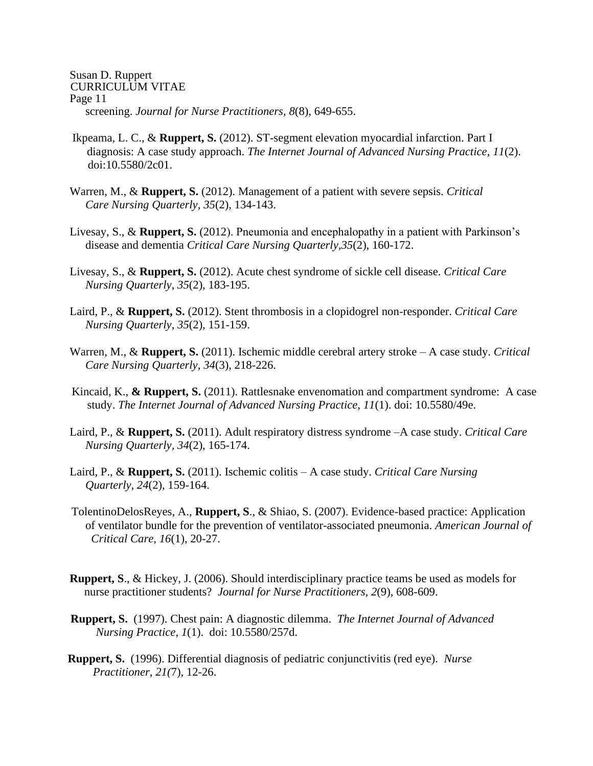Susan D. Ruppert CURRICULUM VITAE Page 11 screening. *Journal for Nurse Practitioners, 8*(8), 649-655.

- Ikpeama, L. C., & **Ruppert, S.** (2012). ST-segment elevation myocardial infarction. Part I diagnosis: A case study approach. *The Internet Journal of Advanced Nursing Practice, 11*(2). doi:10.5580/2c01.
- Warren, M., & **Ruppert, S.** (2012). Management of a patient with severe sepsis. *Critical Care Nursing Quarterly, 35*(2), 134-143.
- Livesay, S., & **Ruppert, S.** (2012). Pneumonia and encephalopathy in a patient with Parkinson's disease and dementia *Critical Care Nursing Quarterly,35*(2), 160-172.
- Livesay, S., & **Ruppert, S.** (2012). Acute chest syndrome of sickle cell disease. *Critical Care Nursing Quarterly*, *35*(2), 183-195.
- Laird, P., & **Ruppert, S.** (2012). Stent thrombosis in a clopidogrel non-responder. *Critical Care Nursing Quarterly, 35*(2), 151-159.
- Warren, M., & **Ruppert, S.** (2011). Ischemic middle cerebral artery stroke A case study. *Critical Care Nursing Quarterly, 34*(3), 218-226.
- Kincaid, K., **& Ruppert, S.** (2011). Rattlesnake envenomation and compartment syndrome: A case study. *The Internet Journal of Advanced Nursing Practice, 11*(1). doi: 10.5580/49e.
- Laird, P., & **Ruppert, S.** (2011). Adult respiratory distress syndrome –A case study. *Critical Care Nursing Quarterly, 34*(2), 165-174.
- Laird, P., & **Ruppert, S.** (2011). Ischemic colitis A case study. *Critical Care Nursing Quarterly, 24*(2), 159-164.
- TolentinoDelosReyes, A., **Ruppert, S**., & Shiao, S. (2007). Evidence-based practice: Application of ventilator bundle for the prevention of ventilator-associated pneumonia. *American Journal of Critical Care, 16*(1), 20-27.
- **Ruppert, S**., & Hickey, J. (2006). Should interdisciplinary practice teams be used as models for nurse practitioner students? *Journal for Nurse Practitioners, 2*(9), 608-609.
- **Ruppert, S.** (1997). Chest pain: A diagnostic dilemma. *The Internet Journal of Advanced Nursing Practice, 1*(1). doi: 10.5580/257d.
- **Ruppert, S.** (1996). Differential diagnosis of pediatric conjunctivitis (red eye). *Nurse Practitioner, 21(*7), 12-26.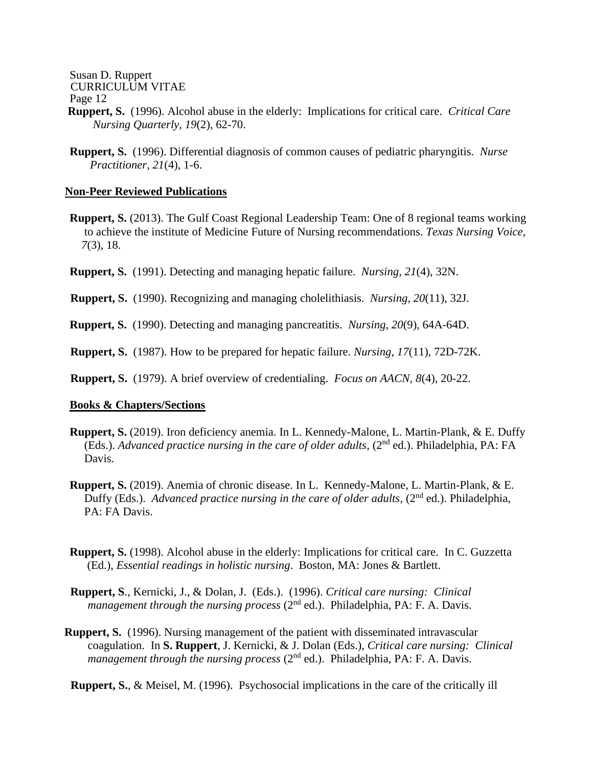Susan D. Ruppert

CURRICULUM VITAE

Page 12

- **Ruppert, S.** (1996). Alcohol abuse in the elderly: Implications for critical care. *Critical Care Nursing Quarterly, 19*(2), 62-70.
- **Ruppert, S.** (1996). Differential diagnosis of common causes of pediatric pharyngitis. *Nurse Practitioner, 21*(4), 1-6.

#### **Non-Peer Reviewed Publications**

- **Ruppert, S.** (2013). The Gulf Coast Regional Leadership Team: One of 8 regional teams working to achieve the institute of Medicine Future of Nursing recommendations. *Texas Nursing Voice, 7*(3), 18.
- **Ruppert, S.** (1991). Detecting and managing hepatic failure. *Nursing, 21*(4), 32N.
- **Ruppert, S.** (1990). Recognizing and managing cholelithiasis. *Nursing, 20*(11), 32J.
- **Ruppert, S.** (1990). Detecting and managing pancreatitis. *Nursing, 20*(9), 64A-64D.
- **Ruppert, S.** (1987). How to be prepared for hepatic failure. *Nursing, 17*(11), 72D-72K.
- **Ruppert, S.** (1979). A brief overview of credentialing. *Focus on AACN, 8*(4), 20-22.

#### **Books & Chapters/Sections**

- **Ruppert, S.** (2019). Iron deficiency anemia. In L. Kennedy-Malone, L. Martin-Plank, & E. Duffy (Eds.). *Advanced practice nursing in the care of older adults*, (2nd ed.). Philadelphia, PA: FA Davis.
- **Ruppert, S.** (2019). Anemia of chronic disease. In L. Kennedy-Malone, L. Martin-Plank, & E. Duffy (Eds.). *Advanced practice nursing in the care of older adults*, (2<sup>nd</sup> ed.). Philadelphia, PA: FA Davis.
- **Ruppert, S.** (1998). Alcohol abuse in the elderly: Implications for critical care. In C. Guzzetta (Ed.), *Essential readings in holistic nursing*. Boston, MA: Jones & Bartlett.
- **Ruppert, S**., Kernicki, J., & Dolan, J. (Eds.). (1996). *Critical care nursing: Clinical management through the nursing process*  $(2^{nd}$  ed.). Philadelphia, PA: F. A. Davis.
- **Ruppert, S.** (1996). Nursing management of the patient with disseminated intravascular coagulation. In **S. Ruppert**, J. Kernicki, & J. Dolan (Eds.), *Critical care nursing: Clinical management through the nursing process (2<sup>nd</sup> ed.).* Philadelphia, PA: F. A. Davis.
- **Ruppert, S.**, & Meisel, M. (1996). Psychosocial implications in the care of the critically ill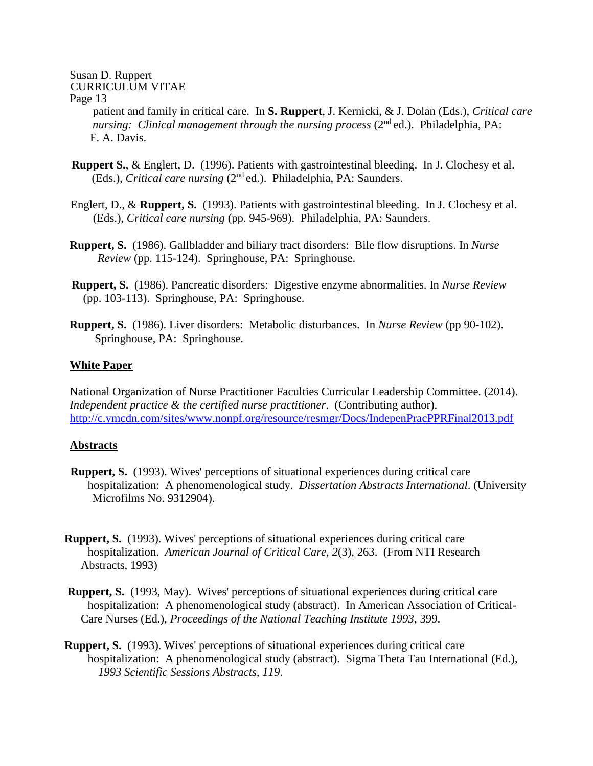patient and family in critical care. In **S. Ruppert**, J. Kernicki, & J. Dolan (Eds.), *Critical care nursing: Clinical management through the nursing process (2<sup>nd</sup> ed.). Philadelphia, PA:* F. A. Davis.

- **Ruppert S.**, & Englert, D. (1996). Patients with gastrointestinal bleeding. In J. Clochesy et al. (Eds.), *Critical care nursing* (2nd ed.). Philadelphia, PA: Saunders.
- Englert, D., & **Ruppert, S.** (1993). Patients with gastrointestinal bleeding. In J. Clochesy et al. (Eds.), *Critical care nursing* (pp. 945-969). Philadelphia, PA: Saunders.
- **Ruppert, S.** (1986). Gallbladder and biliary tract disorders: Bile flow disruptions. In *Nurse Review* (pp. 115-124). Springhouse, PA: Springhouse.
- **Ruppert, S.** (1986). Pancreatic disorders: Digestive enzyme abnormalities. In *Nurse Review* (pp. 103-113). Springhouse, PA: Springhouse.
- **Ruppert, S.** (1986). Liver disorders: Metabolic disturbances. In *Nurse Review* (pp 90-102). Springhouse, PA: Springhouse.

### **White Paper**

National Organization of Nurse Practitioner Faculties Curricular Leadership Committee. (2014). *Independent practice & the certified nurse practitioner*. (Contributing author). <http://c.ymcdn.com/sites/www.nonpf.org/resource/resmgr/Docs/IndepenPracPPRFinal2013.pdf>

#### **Abstracts**

- **Ruppert, S.** (1993). Wives' perceptions of situational experiences during critical care hospitalization: A phenomenological study. *Dissertation Abstracts International*. (University Microfilms No. 9312904).
- **Ruppert, S.** (1993). Wives' perceptions of situational experiences during critical care hospitalization. *American Journal of Critical Care, 2*(3), 263. (From NTI Research Abstracts, 1993)
- **Ruppert, S.** (1993, May). Wives' perceptions of situational experiences during critical care hospitalization: A phenomenological study (abstract). In American Association of Critical- Care Nurses (Ed.), *Proceedings of the National Teaching Institute 1993*, 399.
- **Ruppert, S.** (1993). Wives' perceptions of situational experiences during critical care hospitalization: A phenomenological study (abstract). Sigma Theta Tau International (Ed.), *1993 Scientific Sessions Abstracts, 119*.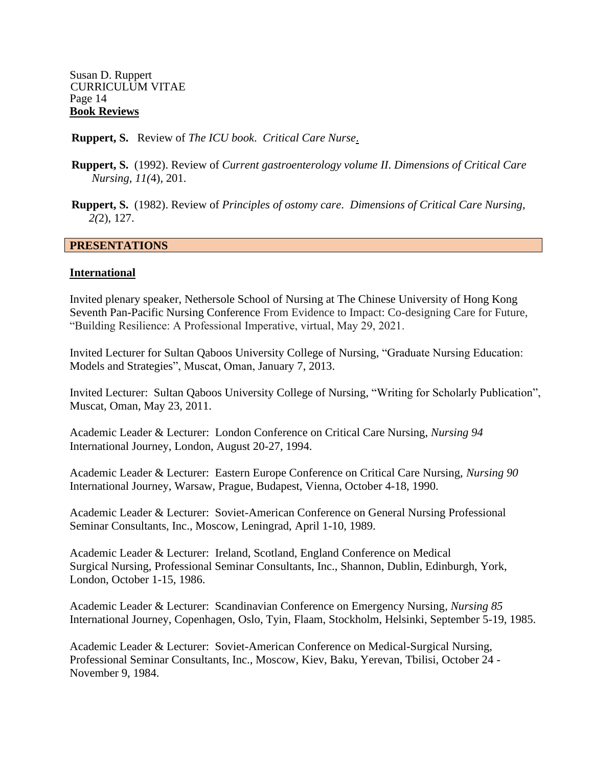Susan D. Ruppert CURRICULUM VITAE Page 14 **Book Reviews**

**Ruppert, S.** Review of *The ICU book*. *Critical Care Nurse*.

- **Ruppert, S.** (1992). Review of *Current gastroenterology volume II*. *Dimensions of Critical Care Nursing, 11(*4), 201.
- **Ruppert, S.** (1982). Review of *Principles of ostomy care*. *Dimensions of Critical Care Nursing, 2(*2), 127.

#### **PRESENTATIONS**

#### **International**

Invited plenary speaker, Nethersole School of Nursing at The Chinese University of Hong Kong Seventh Pan-Pacific Nursing Conference From Evidence to Impact: Co-designing Care for Future, "Building Resilience: A Professional Imperative, virtual, May 29, 2021.

Invited Lecturer for Sultan Qaboos University College of Nursing, "Graduate Nursing Education: Models and Strategies", Muscat, Oman, January 7, 2013.

Invited Lecturer: Sultan Qaboos University College of Nursing, "Writing for Scholarly Publication", Muscat, Oman, May 23, 2011.

Academic Leader & Lecturer: London Conference on Critical Care Nursing, *Nursing 94*  International Journey, London, August 20-27, 1994.

Academic Leader & Lecturer: Eastern Europe Conference on Critical Care Nursing, *Nursing 90* International Journey, Warsaw, Prague, Budapest, Vienna, October 4-18, 1990.

Academic Leader & Lecturer: Soviet-American Conference on General Nursing Professional Seminar Consultants, Inc., Moscow, Leningrad, April 1-10, 1989.

Academic Leader & Lecturer: Ireland, Scotland, England Conference on Medical Surgical Nursing, Professional Seminar Consultants, Inc., Shannon, Dublin, Edinburgh, York, London, October 1-15, 1986.

Academic Leader & Lecturer: Scandinavian Conference on Emergency Nursing, *Nursing 85* International Journey, Copenhagen, Oslo, Tyin, Flaam, Stockholm, Helsinki, September 5-19, 1985.

Academic Leader & Lecturer: Soviet-American Conference on Medical-Surgical Nursing, Professional Seminar Consultants, Inc., Moscow, Kiev, Baku, Yerevan, Tbilisi, October 24 - November 9, 1984.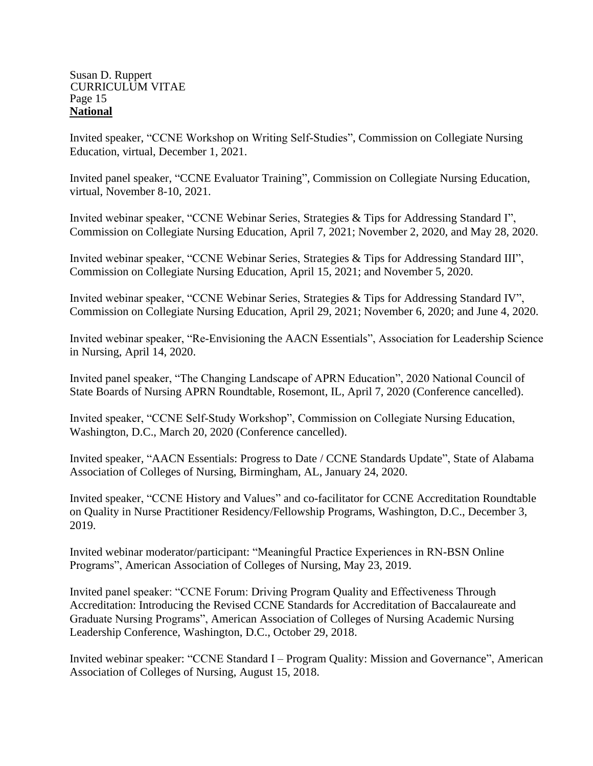#### Susan D. Ruppert CURRICULUM VITAE Page 15 **National**

Invited speaker, "CCNE Workshop on Writing Self-Studies", Commission on Collegiate Nursing Education, virtual, December 1, 2021.

Invited panel speaker, "CCNE Evaluator Training", Commission on Collegiate Nursing Education, virtual, November 8-10, 2021.

Invited webinar speaker, "CCNE Webinar Series, Strategies & Tips for Addressing Standard I", Commission on Collegiate Nursing Education, April 7, 2021; November 2, 2020, and May 28, 2020.

Invited webinar speaker, "CCNE Webinar Series, Strategies & Tips for Addressing Standard III", Commission on Collegiate Nursing Education, April 15, 2021; and November 5, 2020.

Invited webinar speaker, "CCNE Webinar Series, Strategies & Tips for Addressing Standard IV", Commission on Collegiate Nursing Education, April 29, 2021; November 6, 2020; and June 4, 2020.

Invited webinar speaker, "Re-Envisioning the AACN Essentials", Association for Leadership Science in Nursing, April 14, 2020.

Invited panel speaker, "The Changing Landscape of APRN Education", 2020 National Council of State Boards of Nursing APRN Roundtable, Rosemont, IL, April 7, 2020 (Conference cancelled).

Invited speaker, "CCNE Self-Study Workshop", Commission on Collegiate Nursing Education, Washington, D.C., March 20, 2020 (Conference cancelled).

Invited speaker, "AACN Essentials: Progress to Date / CCNE Standards Update", State of Alabama Association of Colleges of Nursing, Birmingham, AL, January 24, 2020.

Invited speaker, "CCNE History and Values" and co-facilitator for CCNE Accreditation Roundtable on Quality in Nurse Practitioner Residency/Fellowship Programs, Washington, D.C., December 3, 2019.

Invited webinar moderator/participant: "Meaningful Practice Experiences in RN-BSN Online Programs", American Association of Colleges of Nursing, May 23, 2019.

Invited panel speaker: "CCNE Forum: Driving Program Quality and Effectiveness Through Accreditation: Introducing the Revised CCNE Standards for Accreditation of Baccalaureate and Graduate Nursing Programs", American Association of Colleges of Nursing Academic Nursing Leadership Conference, Washington, D.C., October 29, 2018.

Invited webinar speaker: "CCNE Standard I – Program Quality: Mission and Governance", American Association of Colleges of Nursing, August 15, 2018.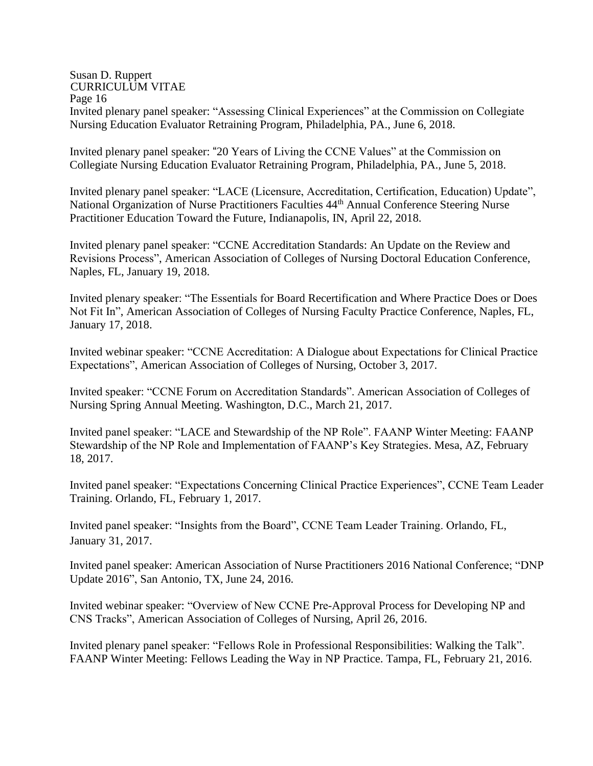#### Susan D. Ruppert CURRICULUM VITAE Page 16 Invited plenary panel speaker: "Assessing Clinical Experiences" at the Commission on Collegiate Nursing Education Evaluator Retraining Program, Philadelphia, PA., June 6, 2018.

Invited plenary panel speaker: "20 Years of Living the CCNE Values" at the Commission on Collegiate Nursing Education Evaluator Retraining Program, Philadelphia, PA., June 5, 2018.

Invited plenary panel speaker: "LACE (Licensure, Accreditation, Certification, Education) Update", National Organization of Nurse Practitioners Faculties 44<sup>th</sup> Annual Conference Steering Nurse Practitioner Education Toward the Future, Indianapolis, IN, April 22, 2018.

Invited plenary panel speaker: "CCNE Accreditation Standards: An Update on the Review and Revisions Process", American Association of Colleges of Nursing Doctoral Education Conference, Naples, FL, January 19, 2018.

Invited plenary speaker: "The Essentials for Board Recertification and Where Practice Does or Does Not Fit In", American Association of Colleges of Nursing Faculty Practice Conference, Naples, FL, January 17, 2018.

Invited webinar speaker: "CCNE Accreditation: A Dialogue about Expectations for Clinical Practice Expectations", American Association of Colleges of Nursing, October 3, 2017.

Invited speaker: "CCNE Forum on Accreditation Standards". American Association of Colleges of Nursing Spring Annual Meeting. Washington, D.C., March 21, 2017.

Invited panel speaker: "LACE and Stewardship of the NP Role". FAANP Winter Meeting: FAANP Stewardship of the NP Role and Implementation of FAANP's Key Strategies. Mesa, AZ, February 18, 2017.

Invited panel speaker: "Expectations Concerning Clinical Practice Experiences", CCNE Team Leader Training. Orlando, FL, February 1, 2017.

Invited panel speaker: "Insights from the Board", CCNE Team Leader Training. Orlando, FL, January 31, 2017.

Invited panel speaker: American Association of Nurse Practitioners 2016 National Conference; "DNP Update 2016", San Antonio, TX, June 24, 2016.

Invited webinar speaker: "Overview of New CCNE Pre-Approval Process for Developing NP and CNS Tracks", American Association of Colleges of Nursing, April 26, 2016.

Invited plenary panel speaker: "Fellows Role in Professional Responsibilities: Walking the Talk". FAANP Winter Meeting: Fellows Leading the Way in NP Practice. Tampa, FL, February 21, 2016.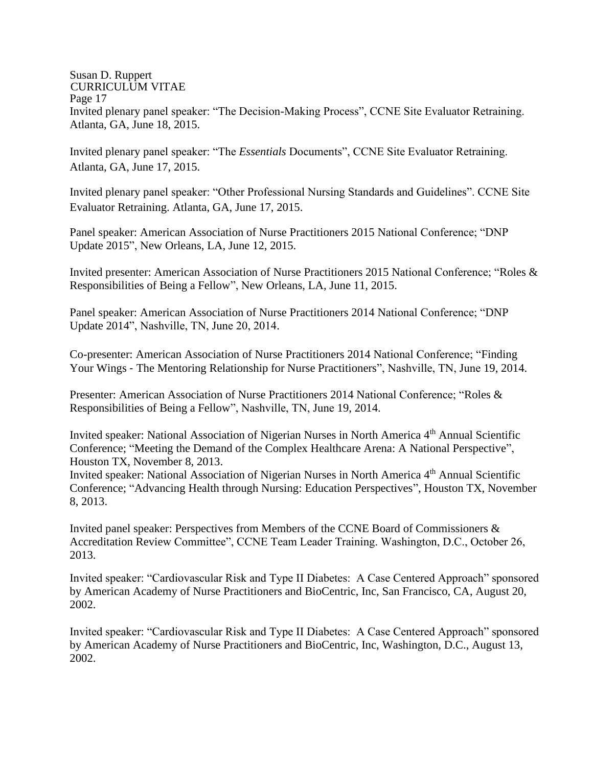#### Susan D. Ruppert CURRICULUM VITAE Page 17 Invited plenary panel speaker: "The Decision-Making Process", CCNE Site Evaluator Retraining. Atlanta, GA, June 18, 2015.

Invited plenary panel speaker: "The *Essentials* Documents", CCNE Site Evaluator Retraining. Atlanta, GA, June 17, 2015.

Invited plenary panel speaker: "Other Professional Nursing Standards and Guidelines". CCNE Site Evaluator Retraining. Atlanta, GA, June 17, 2015.

Panel speaker: American Association of Nurse Practitioners 2015 National Conference; "DNP Update 2015", New Orleans, LA, June 12, 2015.

Invited presenter: American Association of Nurse Practitioners 2015 National Conference; "Roles & Responsibilities of Being a Fellow", New Orleans, LA, June 11, 2015.

Panel speaker: American Association of Nurse Practitioners 2014 National Conference; "DNP Update 2014", Nashville, TN, June 20, 2014.

Co-presenter: American Association of Nurse Practitioners 2014 National Conference; "Finding Your Wings ‐ The Mentoring Relationship for Nurse Practitioners", Nashville, TN, June 19, 2014.

Presenter: American Association of Nurse Practitioners 2014 National Conference; "Roles & Responsibilities of Being a Fellow", Nashville, TN, June 19, 2014.

Invited speaker: National Association of Nigerian Nurses in North America 4<sup>th</sup> Annual Scientific Conference; "Meeting the Demand of the Complex Healthcare Arena: A National Perspective", Houston TX, November 8, 2013.

Invited speaker: National Association of Nigerian Nurses in North America 4<sup>th</sup> Annual Scientific Conference; "Advancing Health through Nursing: Education Perspectives", Houston TX, November 8, 2013.

Invited panel speaker: Perspectives from Members of the CCNE Board of Commissioners & Accreditation Review Committee", CCNE Team Leader Training. Washington, D.C., October 26, 2013.

Invited speaker: "Cardiovascular Risk and Type II Diabetes: A Case Centered Approach" sponsored by American Academy of Nurse Practitioners and BioCentric, Inc, San Francisco, CA, August 20, 2002.

Invited speaker: "Cardiovascular Risk and Type II Diabetes: A Case Centered Approach" sponsored by American Academy of Nurse Practitioners and BioCentric, Inc, Washington, D.C., August 13, 2002.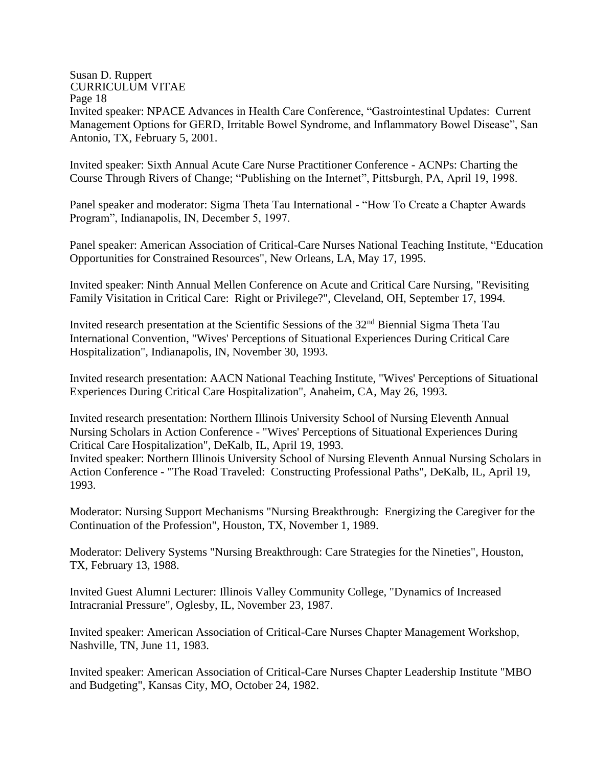Page 18

Invited speaker: NPACE Advances in Health Care Conference, "Gastrointestinal Updates: Current Management Options for GERD, Irritable Bowel Syndrome, and Inflammatory Bowel Disease", San Antonio, TX, February 5, 2001.

Invited speaker: Sixth Annual Acute Care Nurse Practitioner Conference - ACNPs: Charting the Course Through Rivers of Change; "Publishing on the Internet", Pittsburgh, PA, April 19, 1998.

Panel speaker and moderator: Sigma Theta Tau International - "How To Create a Chapter Awards Program", Indianapolis, IN, December 5, 1997.

Panel speaker: American Association of Critical-Care Nurses National Teaching Institute, "Education Opportunities for Constrained Resources", New Orleans, LA, May 17, 1995.

Invited speaker: Ninth Annual Mellen Conference on Acute and Critical Care Nursing, "Revisiting Family Visitation in Critical Care: Right or Privilege?", Cleveland, OH, September 17, 1994.

Invited research presentation at the Scientific Sessions of the 32nd Biennial Sigma Theta Tau International Convention, "Wives' Perceptions of Situational Experiences During Critical Care Hospitalization", Indianapolis, IN, November 30, 1993.

Invited research presentation: AACN National Teaching Institute, "Wives' Perceptions of Situational Experiences During Critical Care Hospitalization", Anaheim, CA, May 26, 1993.

Invited research presentation: Northern Illinois University School of Nursing Eleventh Annual Nursing Scholars in Action Conference - "Wives' Perceptions of Situational Experiences During Critical Care Hospitalization", DeKalb, IL, April 19, 1993.

Invited speaker: Northern Illinois University School of Nursing Eleventh Annual Nursing Scholars in Action Conference - "The Road Traveled: Constructing Professional Paths", DeKalb, IL, April 19, 1993.

Moderator: Nursing Support Mechanisms "Nursing Breakthrough: Energizing the Caregiver for the Continuation of the Profession", Houston, TX, November 1, 1989.

Moderator: Delivery Systems "Nursing Breakthrough: Care Strategies for the Nineties", Houston, TX, February 13, 1988.

Invited Guest Alumni Lecturer: Illinois Valley Community College, "Dynamics of Increased Intracranial Pressure", Oglesby, IL, November 23, 1987.

Invited speaker: American Association of Critical-Care Nurses Chapter Management Workshop, Nashville, TN, June 11, 1983.

Invited speaker: American Association of Critical-Care Nurses Chapter Leadership Institute "MBO and Budgeting", Kansas City, MO, October 24, 1982.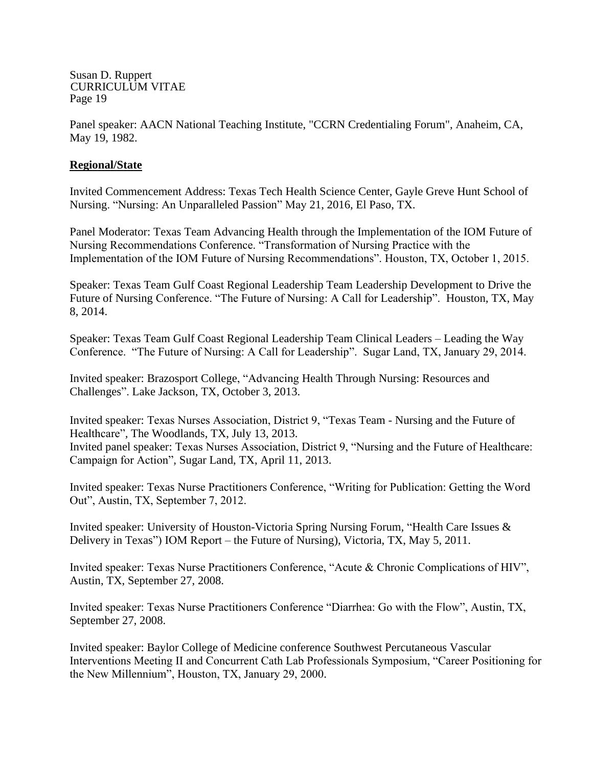Panel speaker: AACN National Teaching Institute, "CCRN Credentialing Forum", Anaheim, CA, May 19, 1982.

### **Regional/State**

Invited Commencement Address: Texas Tech Health Science Center, Gayle Greve Hunt School of Nursing. "Nursing: An Unparalleled Passion" May 21, 2016, El Paso, TX.

Panel Moderator: Texas Team Advancing Health through the Implementation of the IOM Future of Nursing Recommendations Conference. "Transformation of Nursing Practice with the Implementation of the IOM Future of Nursing Recommendations". Houston, TX, October 1, 2015.

Speaker: Texas Team Gulf Coast Regional Leadership Team Leadership Development to Drive the Future of Nursing Conference. "The Future of Nursing: A Call for Leadership". Houston, TX, May 8, 2014.

Speaker: Texas Team Gulf Coast Regional Leadership Team Clinical Leaders – Leading the Way Conference. "The Future of Nursing: A Call for Leadership". Sugar Land, TX, January 29, 2014.

Invited speaker: Brazosport College, "Advancing Health Through Nursing: Resources and Challenges". Lake Jackson, TX, October 3, 2013.

Invited speaker: Texas Nurses Association, District 9, "Texas Team - Nursing and the Future of Healthcare"*,* The Woodlands, TX, July 13, 2013. Invited panel speaker: Texas Nurses Association, District 9, "Nursing and the Future of Healthcare: Campaign for Action"*,* Sugar Land, TX, April 11, 2013.

Invited speaker: Texas Nurse Practitioners Conference, "Writing for Publication: Getting the Word Out", Austin, TX, September 7, 2012.

Invited speaker: University of Houston-Victoria Spring Nursing Forum, "Health Care Issues & Delivery in Texas") IOM Report – the Future of Nursing), Victoria, TX, May 5, 2011.

Invited speaker: Texas Nurse Practitioners Conference, "Acute & Chronic Complications of HIV", Austin, TX, September 27, 2008.

Invited speaker: Texas Nurse Practitioners Conference "Diarrhea: Go with the Flow", Austin, TX, September 27, 2008.

Invited speaker: Baylor College of Medicine conference Southwest Percutaneous Vascular Interventions Meeting II and Concurrent Cath Lab Professionals Symposium, "Career Positioning for the New Millennium", Houston, TX, January 29, 2000.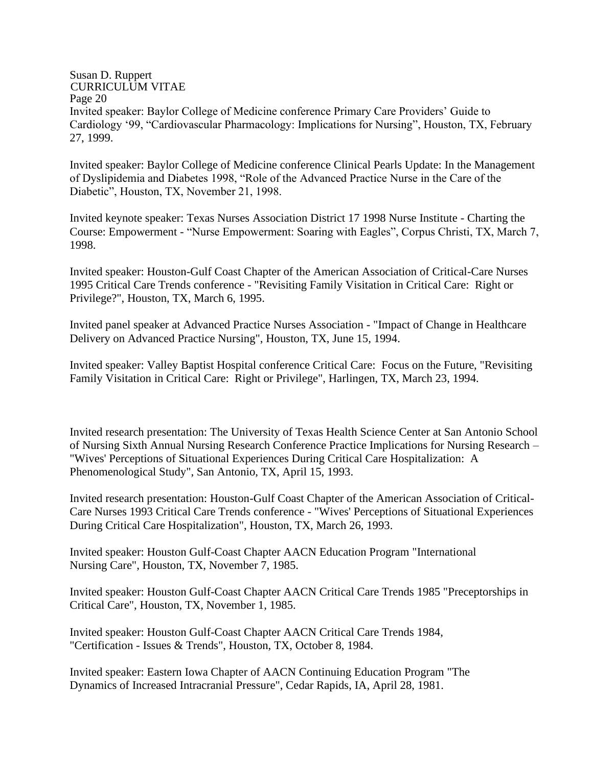#### Susan D. Ruppert CURRICULUM VITAE Page 20 Invited speaker: Baylor College of Medicine conference Primary Care Providers' Guide to Cardiology '99, "Cardiovascular Pharmacology: Implications for Nursing", Houston, TX, February 27, 1999.

Invited speaker: Baylor College of Medicine conference Clinical Pearls Update: In the Management of Dyslipidemia and Diabetes 1998, "Role of the Advanced Practice Nurse in the Care of the Diabetic", Houston, TX, November 21, 1998.

Invited keynote speaker: Texas Nurses Association District 17 1998 Nurse Institute - Charting the Course: Empowerment - "Nurse Empowerment: Soaring with Eagles", Corpus Christi, TX, March 7, 1998.

Invited speaker: Houston-Gulf Coast Chapter of the American Association of Critical-Care Nurses 1995 Critical Care Trends conference - "Revisiting Family Visitation in Critical Care: Right or Privilege?", Houston, TX, March 6, 1995.

Invited panel speaker at Advanced Practice Nurses Association - "Impact of Change in Healthcare Delivery on Advanced Practice Nursing", Houston, TX, June 15, 1994.

Invited speaker: Valley Baptist Hospital conference Critical Care: Focus on the Future, "Revisiting Family Visitation in Critical Care: Right or Privilege", Harlingen, TX, March 23, 1994.

Invited research presentation: The University of Texas Health Science Center at San Antonio School of Nursing Sixth Annual Nursing Research Conference Practice Implications for Nursing Research – "Wives' Perceptions of Situational Experiences During Critical Care Hospitalization: A Phenomenological Study", San Antonio, TX, April 15, 1993.

Invited research presentation: Houston-Gulf Coast Chapter of the American Association of Critical-Care Nurses 1993 Critical Care Trends conference - "Wives' Perceptions of Situational Experiences During Critical Care Hospitalization", Houston, TX, March 26, 1993.

Invited speaker: Houston Gulf-Coast Chapter AACN Education Program "International Nursing Care", Houston, TX, November 7, 1985.

Invited speaker: Houston Gulf-Coast Chapter AACN Critical Care Trends 1985 "Preceptorships in Critical Care", Houston, TX, November 1, 1985.

Invited speaker: Houston Gulf-Coast Chapter AACN Critical Care Trends 1984, "Certification - Issues & Trends", Houston, TX, October 8, 1984.

Invited speaker: Eastern Iowa Chapter of AACN Continuing Education Program "The Dynamics of Increased Intracranial Pressure", Cedar Rapids, IA, April 28, 1981.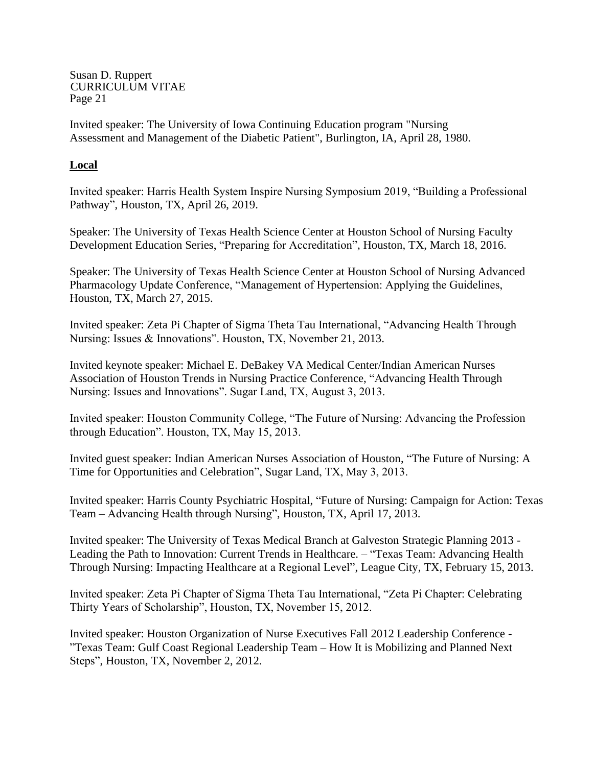Invited speaker: The University of Iowa Continuing Education program "Nursing Assessment and Management of the Diabetic Patient", Burlington, IA, April 28, 1980.

## **Local**

Invited speaker: Harris Health System Inspire Nursing Symposium 2019, "Building a Professional Pathway", Houston, TX, April 26, 2019.

Speaker: The University of Texas Health Science Center at Houston School of Nursing Faculty Development Education Series, "Preparing for Accreditation", Houston, TX, March 18, 2016.

Speaker: The University of Texas Health Science Center at Houston School of Nursing Advanced Pharmacology Update Conference, "Management of Hypertension: Applying the Guidelines, Houston, TX, March 27, 2015.

Invited speaker: Zeta Pi Chapter of Sigma Theta Tau International, "Advancing Health Through Nursing: Issues & Innovations". Houston, TX, November 21, 2013.

Invited keynote speaker: Michael E. DeBakey VA Medical Center/Indian American Nurses Association of Houston Trends in Nursing Practice Conference, "Advancing Health Through Nursing: Issues and Innovations". Sugar Land, TX, August 3, 2013.

Invited speaker: Houston Community College, "The Future of Nursing: Advancing the Profession through Education". Houston, TX, May 15, 2013.

Invited guest speaker: Indian American Nurses Association of Houston, "The Future of Nursing: A Time for Opportunities and Celebration", Sugar Land, TX, May 3, 2013.

Invited speaker: Harris County Psychiatric Hospital, "Future of Nursing: Campaign for Action: Texas Team – Advancing Health through Nursing", Houston, TX, April 17, 2013.

Invited speaker: The University of Texas Medical Branch at Galveston Strategic Planning 2013 - Leading the Path to Innovation: Current Trends in Healthcare. – "Texas Team: Advancing Health Through Nursing: Impacting Healthcare at a Regional Level", League City, TX, February 15, 2013.

Invited speaker: Zeta Pi Chapter of Sigma Theta Tau International, "Zeta Pi Chapter: Celebrating Thirty Years of Scholarship", Houston, TX, November 15, 2012.

Invited speaker: Houston Organization of Nurse Executives Fall 2012 Leadership Conference - "Texas Team: Gulf Coast Regional Leadership Team – How It is Mobilizing and Planned Next Steps", Houston, TX, November 2, 2012.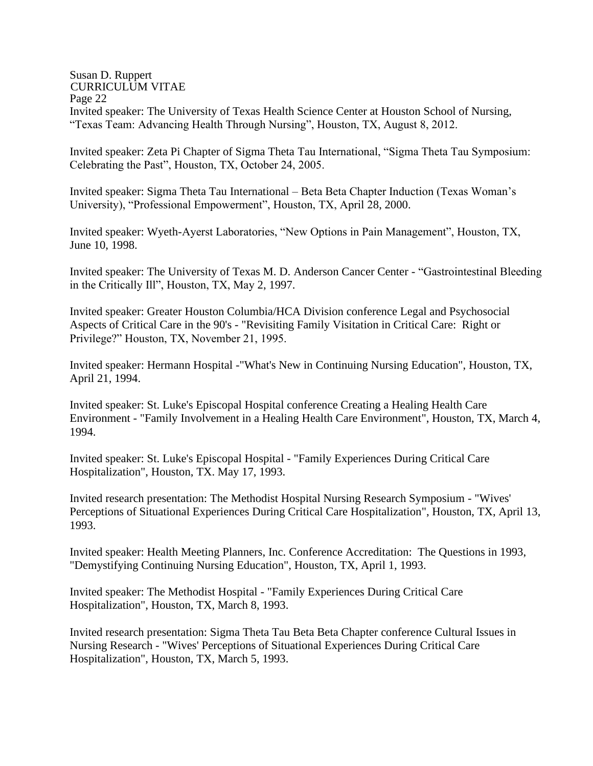#### Susan D. Ruppert CURRICULUM VITAE Page 22 Invited speaker: The University of Texas Health Science Center at Houston School of Nursing, "Texas Team: Advancing Health Through Nursing", Houston, TX, August 8, 2012.

Invited speaker: Zeta Pi Chapter of Sigma Theta Tau International, "Sigma Theta Tau Symposium: Celebrating the Past", Houston, TX, October 24, 2005.

Invited speaker: Sigma Theta Tau International – Beta Beta Chapter Induction (Texas Woman's University), "Professional Empowerment", Houston, TX, April 28, 2000.

Invited speaker: Wyeth-Ayerst Laboratories, "New Options in Pain Management", Houston, TX, June 10, 1998.

Invited speaker: The University of Texas M. D. Anderson Cancer Center - "Gastrointestinal Bleeding in the Critically Ill", Houston, TX, May 2, 1997.

Invited speaker: Greater Houston Columbia/HCA Division conference Legal and Psychosocial Aspects of Critical Care in the 90's - "Revisiting Family Visitation in Critical Care: Right or Privilege?" Houston, TX, November 21, 1995.

Invited speaker: Hermann Hospital -"What's New in Continuing Nursing Education", Houston, TX, April 21, 1994.

Invited speaker: St. Luke's Episcopal Hospital conference Creating a Healing Health Care Environment - "Family Involvement in a Healing Health Care Environment", Houston, TX, March 4, 1994.

Invited speaker: St. Luke's Episcopal Hospital - "Family Experiences During Critical Care Hospitalization", Houston, TX. May 17, 1993.

Invited research presentation: The Methodist Hospital Nursing Research Symposium - "Wives' Perceptions of Situational Experiences During Critical Care Hospitalization", Houston, TX, April 13, 1993.

Invited speaker: Health Meeting Planners, Inc. Conference Accreditation: The Questions in 1993, "Demystifying Continuing Nursing Education", Houston, TX, April 1, 1993.

Invited speaker: The Methodist Hospital - "Family Experiences During Critical Care Hospitalization", Houston, TX, March 8, 1993.

Invited research presentation: Sigma Theta Tau Beta Beta Chapter conference Cultural Issues in Nursing Research - "Wives' Perceptions of Situational Experiences During Critical Care Hospitalization", Houston, TX, March 5, 1993.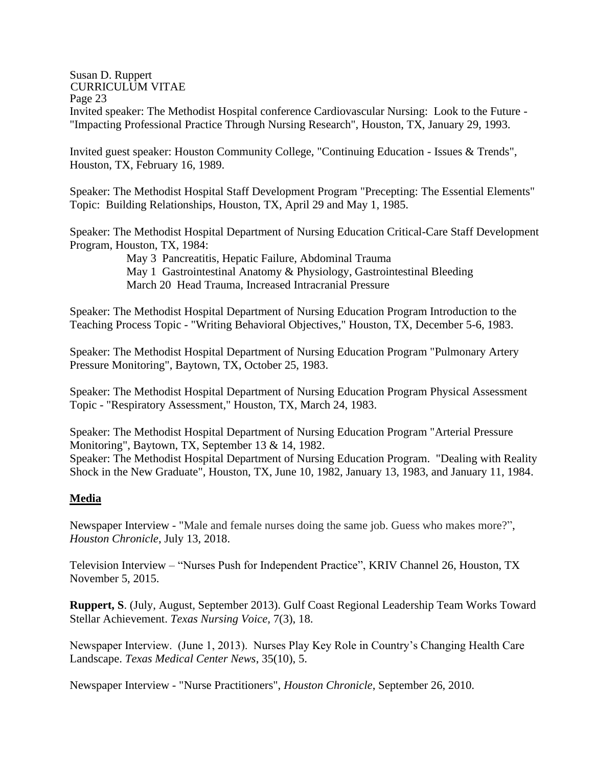Page 23

Invited speaker: The Methodist Hospital conference Cardiovascular Nursing: Look to the Future - "Impacting Professional Practice Through Nursing Research", Houston, TX, January 29, 1993.

Invited guest speaker: Houston Community College, "Continuing Education - Issues & Trends", Houston, TX, February 16, 1989.

Speaker: The Methodist Hospital Staff Development Program "Precepting: The Essential Elements" Topic: Building Relationships, Houston, TX, April 29 and May 1, 1985.

Speaker: The Methodist Hospital Department of Nursing Education Critical-Care Staff Development Program, Houston, TX, 1984:

> May 3 Pancreatitis, Hepatic Failure, Abdominal Trauma May 1 Gastrointestinal Anatomy & Physiology, Gastrointestinal Bleeding March 20 Head Trauma, Increased Intracranial Pressure

Speaker: The Methodist Hospital Department of Nursing Education Program Introduction to the Teaching Process Topic - "Writing Behavioral Objectives," Houston, TX, December 5-6, 1983.

Speaker: The Methodist Hospital Department of Nursing Education Program "Pulmonary Artery Pressure Monitoring", Baytown, TX, October 25, 1983.

Speaker: The Methodist Hospital Department of Nursing Education Program Physical Assessment Topic - "Respiratory Assessment," Houston, TX, March 24, 1983.

Speaker: The Methodist Hospital Department of Nursing Education Program "Arterial Pressure Monitoring", Baytown, TX, September 13 & 14, 1982. Speaker: The Methodist Hospital Department of Nursing Education Program. "Dealing with Reality Shock in the New Graduate", Houston, TX, June 10, 1982, January 13, 1983, and January 11, 1984.

## **Media**

Newspaper Interview - "Male and female nurses doing the same job. Guess who makes more?", *Houston Chronicle*, July 13, 2018.

Television Interview – "Nurses Push for Independent Practice", KRIV Channel 26, Houston, TX November 5, 2015.

**Ruppert, S**. (July, August, September 2013). Gulf Coast Regional Leadership Team Works Toward Stellar Achievement. *Texas Nursing Voice,* 7(3), 18.

Newspaper Interview. (June 1, 2013). Nurses Play Key Role in Country's Changing Health Care Landscape. *Texas Medical Center News*, 35(10), 5.

Newspaper Interview - "Nurse Practitioners", *Houston Chronicle*, September 26, 2010.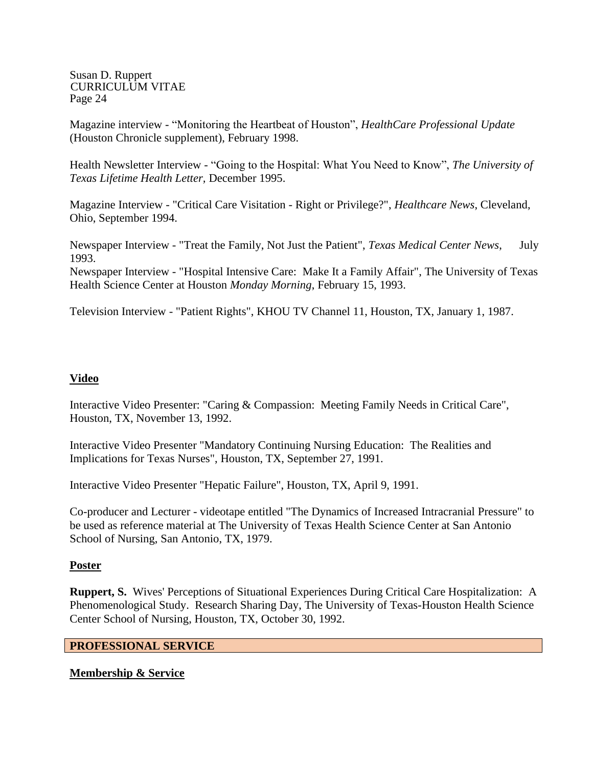Magazine interview - "Monitoring the Heartbeat of Houston", *HealthCare Professional Update* (Houston Chronicle supplement), February 1998.

Health Newsletter Interview - "Going to the Hospital: What You Need to Know", *The University of Texas Lifetime Health Letter,* December 1995.

Magazine Interview - "Critical Care Visitation - Right or Privilege?", *Healthcare News*, Cleveland, Ohio, September 1994.

Newspaper Interview - "Treat the Family, Not Just the Patient", *Texas Medical Center News*, July 1993.

Newspaper Interview - "Hospital Intensive Care: Make It a Family Affair", The University of Texas Health Science Center at Houston *Monday Morning*, February 15, 1993.

Television Interview - "Patient Rights", KHOU TV Channel 11, Houston, TX, January 1, 1987.

## **Video**

Interactive Video Presenter: "Caring & Compassion: Meeting Family Needs in Critical Care", Houston, TX, November 13, 1992.

Interactive Video Presenter "Mandatory Continuing Nursing Education: The Realities and Implications for Texas Nurses", Houston, TX, September 27, 1991.

Interactive Video Presenter "Hepatic Failure", Houston, TX, April 9, 1991.

Co-producer and Lecturer - videotape entitled "The Dynamics of Increased Intracranial Pressure" to be used as reference material at The University of Texas Health Science Center at San Antonio School of Nursing, San Antonio, TX, 1979.

## **Poster**

**Ruppert, S.** Wives' Perceptions of Situational Experiences During Critical Care Hospitalization: A Phenomenological Study. Research Sharing Day, The University of Texas-Houston Health Science Center School of Nursing, Houston, TX, October 30, 1992.

## **PROFESSIONAL SERVICE**

## **Membership & Service**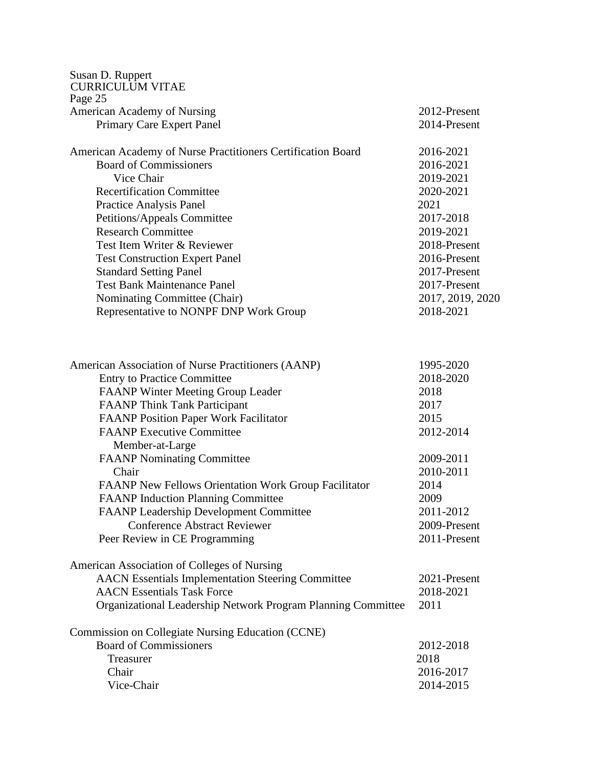| Susan D. Ruppert<br><b>CURRICULUM VITAE</b>                                          |                              |
|--------------------------------------------------------------------------------------|------------------------------|
| Page 25                                                                              |                              |
| American Academy of Nursing                                                          | 2012-Present                 |
| Primary Care Expert Panel                                                            | 2014-Present                 |
| American Academy of Nurse Practitioners Certification Board                          | 2016-2021                    |
| <b>Board of Commissioners</b>                                                        | 2016-2021                    |
| Vice Chair                                                                           | 2019-2021                    |
| <b>Recertification Committee</b>                                                     | 2020-2021                    |
| Practice Analysis Panel                                                              | 2021                         |
| Petitions/Appeals Committee                                                          | 2017-2018                    |
| <b>Research Committee</b>                                                            | 2019-2021                    |
| Test Item Writer & Reviewer                                                          | 2018-Present                 |
| <b>Test Construction Expert Panel</b>                                                | 2016-Present                 |
| <b>Standard Setting Panel</b>                                                        | 2017-Present                 |
| <b>Test Bank Maintenance Panel</b>                                                   | 2017-Present                 |
| Nominating Committee (Chair)                                                         | 2017, 2019, 2020             |
| Representative to NONPF DNP Work Group                                               | 2018-2021                    |
|                                                                                      |                              |
| American Association of Nurse Practitioners (AANP)                                   | 1995-2020                    |
| <b>Entry to Practice Committee</b>                                                   | 2018-2020                    |
| <b>FAANP</b> Winter Meeting Group Leader                                             | 2018                         |
| <b>FAANP Think Tank Participant</b>                                                  | 2017                         |
| <b>FAANP Position Paper Work Facilitator</b>                                         | 2015                         |
| <b>FAANP Executive Committee</b>                                                     | 2012-2014                    |
| Member-at-Large                                                                      |                              |
| <b>FAANP Nominating Committee</b>                                                    | 2009-2011                    |
| Chair                                                                                | 2010-2011                    |
| <b>FAANP New Fellows Orientation Work Group Facilitator</b>                          | 2014                         |
| <b>FAANP Induction Planning Committee</b>                                            | 2009<br>2011-2012            |
| <b>FAANP Leadership Development Committee</b><br><b>Conference Abstract Reviewer</b> |                              |
|                                                                                      | 2009-Present<br>2011-Present |
| Peer Review in CE Programming                                                        |                              |
| American Association of Colleges of Nursing                                          |                              |
| <b>AACN</b> Essentials Implementation Steering Committee                             | 2021-Present                 |
| <b>AACN</b> Essentials Task Force                                                    | 2018-2021                    |
| Organizational Leadership Network Program Planning Committee                         | 2011                         |
| Commission on Collegiate Nursing Education (CCNE)                                    |                              |
| <b>Board of Commissioners</b>                                                        | 2012-2018                    |
| Treasurer                                                                            | 2018                         |
| Chair                                                                                | 2016-2017                    |
| Vice-Chair                                                                           | 2014-2015                    |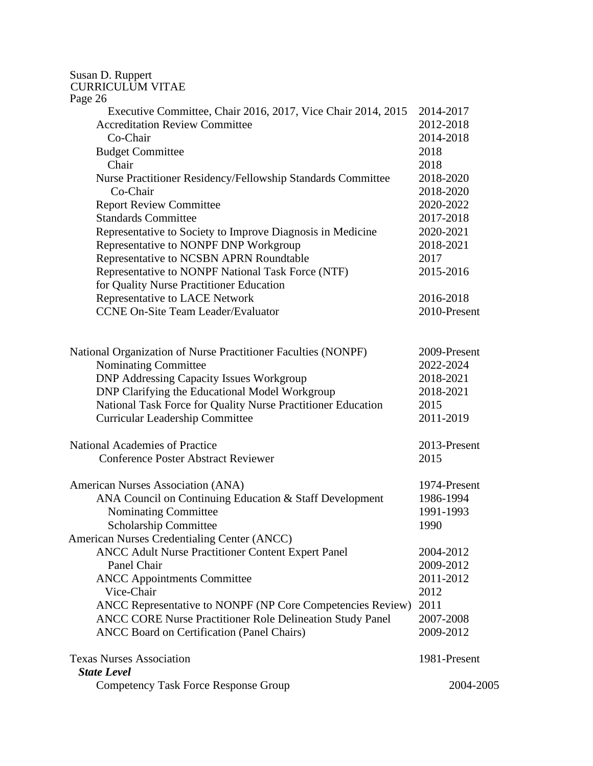| Susan D. Ruppert<br><b>CURRICULUM VITAE</b>                      |              |
|------------------------------------------------------------------|--------------|
| Page 26                                                          |              |
| Executive Committee, Chair 2016, 2017, Vice Chair 2014, 2015     | 2014-2017    |
| <b>Accreditation Review Committee</b>                            | 2012-2018    |
| Co-Chair                                                         | 2014-2018    |
| <b>Budget Committee</b>                                          | 2018         |
| Chair                                                            | 2018         |
| Nurse Practitioner Residency/Fellowship Standards Committee      | 2018-2020    |
| Co-Chair                                                         | 2018-2020    |
| <b>Report Review Committee</b>                                   | 2020-2022    |
| <b>Standards Committee</b>                                       | 2017-2018    |
| Representative to Society to Improve Diagnosis in Medicine       | 2020-2021    |
| Representative to NONPF DNP Workgroup                            | 2018-2021    |
| Representative to NCSBN APRN Roundtable                          | 2017         |
| Representative to NONPF National Task Force (NTF)                | 2015-2016    |
| for Quality Nurse Practitioner Education                         |              |
| Representative to LACE Network                                   | 2016-2018    |
| <b>CCNE On-Site Team Leader/Evaluator</b>                        | 2010-Present |
|                                                                  |              |
| National Organization of Nurse Practitioner Faculties (NONPF)    | 2009-Present |
| Nominating Committee                                             | 2022-2024    |
| <b>DNP Addressing Capacity Issues Workgroup</b>                  | 2018-2021    |
| DNP Clarifying the Educational Model Workgroup                   | 2018-2021    |
| National Task Force for Quality Nurse Practitioner Education     | 2015         |
| <b>Curricular Leadership Committee</b>                           | 2011-2019    |
| <b>National Academies of Practice</b>                            | 2013-Present |
| <b>Conference Poster Abstract Reviewer</b>                       | 2015         |
| American Nurses Association (ANA)                                | 1974-Present |
| ANA Council on Continuing Education & Staff Development          | 1986-1994    |
| Nominating Committee                                             | 1991-1993    |
| Scholarship Committee                                            | 1990         |
| American Nurses Credentialing Center (ANCC)                      |              |
| ANCC Adult Nurse Practitioner Content Expert Panel               | 2004-2012    |
| Panel Chair                                                      | 2009-2012    |
| <b>ANCC Appointments Committee</b>                               | 2011-2012    |
| Vice-Chair                                                       | 2012         |
| ANCC Representative to NONPF (NP Core Competencies Review)       | 2011         |
| <b>ANCC CORE Nurse Practitioner Role Delineation Study Panel</b> | 2007-2008    |
| <b>ANCC Board on Certification (Panel Chairs)</b>                | 2009-2012    |
| <b>Texas Nurses Association</b>                                  | 1981-Present |
| <b>State Level</b>                                               |              |
| <b>Competency Task Force Response Group</b>                      | 2004-2005    |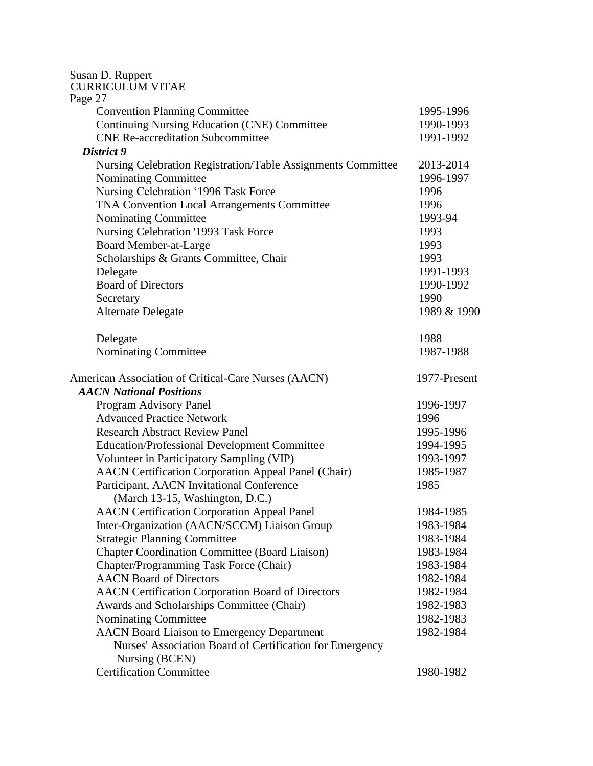| Susan D. Ruppert<br><b>CURRICULUM VITAE</b>                  |              |
|--------------------------------------------------------------|--------------|
| Page 27<br><b>Convention Planning Committee</b>              | 1995-1996    |
| Continuing Nursing Education (CNE) Committee                 | 1990-1993    |
| <b>CNE Re-accreditation Subcommittee</b>                     | 1991-1992    |
| District 9                                                   |              |
| Nursing Celebration Registration/Table Assignments Committee | 2013-2014    |
| <b>Nominating Committee</b>                                  | 1996-1997    |
| Nursing Celebration '1996 Task Force                         | 1996         |
| TNA Convention Local Arrangements Committee                  | 1996         |
| Nominating Committee                                         | 1993-94      |
| Nursing Celebration '1993 Task Force                         | 1993         |
| Board Member-at-Large                                        | 1993         |
| Scholarships & Grants Committee, Chair                       | 1993         |
| Delegate                                                     | 1991-1993    |
| <b>Board of Directors</b>                                    | 1990-1992    |
| Secretary                                                    | 1990         |
| Alternate Delegate                                           | 1989 & 1990  |
| Delegate                                                     | 1988         |
| Nominating Committee                                         | 1987-1988    |
| American Association of Critical-Care Nurses (AACN)          | 1977-Present |
| <b>AACN National Positions</b>                               |              |
| Program Advisory Panel                                       | 1996-1997    |
| <b>Advanced Practice Network</b>                             | 1996         |
| <b>Research Abstract Review Panel</b>                        | 1995-1996    |
| <b>Education/Professional Development Committee</b>          | 1994-1995    |
| Volunteer in Participatory Sampling (VIP)                    | 1993-1997    |
| <b>AACN Certification Corporation Appeal Panel (Chair)</b>   | 1985-1987    |
| Participant, AACN Invitational Conference                    | 1985         |
| (March 13-15, Washington, D.C.)                              |              |
| <b>AACN</b> Certification Corporation Appeal Panel           | 1984-1985    |
| Inter-Organization (AACN/SCCM) Liaison Group                 | 1983-1984    |
| <b>Strategic Planning Committee</b>                          | 1983-1984    |
| <b>Chapter Coordination Committee (Board Liaison)</b>        | 1983-1984    |
| Chapter/Programming Task Force (Chair)                       | 1983-1984    |
| <b>AACN</b> Board of Directors                               | 1982-1984    |
| AACN Certification Corporation Board of Directors            | 1982-1984    |
| Awards and Scholarships Committee (Chair)                    | 1982-1983    |
| Nominating Committee                                         | 1982-1983    |
| <b>AACN</b> Board Liaison to Emergency Department            | 1982-1984    |
| Nurses' Association Board of Certification for Emergency     |              |
| Nursing (BCEN)                                               |              |
| <b>Certification Committee</b>                               | 1980-1982    |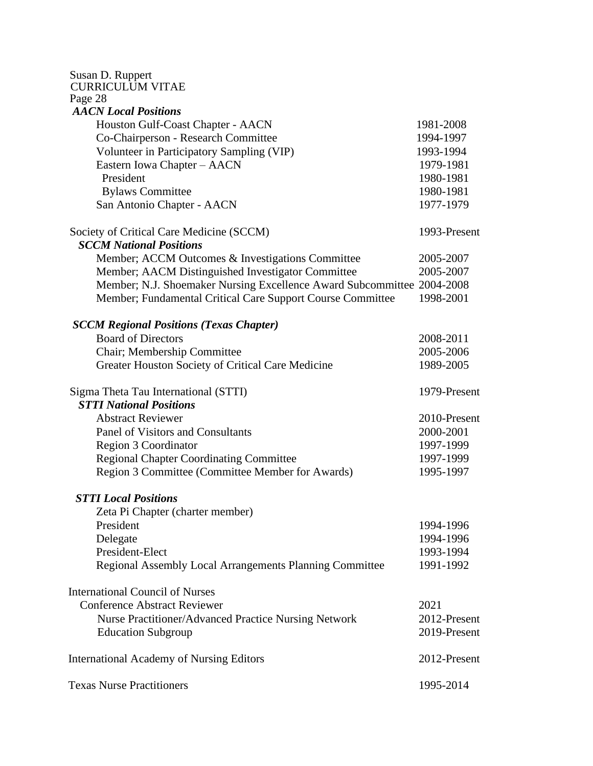| Susan D. Ruppert<br><b>CURRICULUM VITAE</b>                            |              |
|------------------------------------------------------------------------|--------------|
| Page 28                                                                |              |
| <b>AACN</b> Local Positions                                            |              |
| Houston Gulf-Coast Chapter - AACN                                      | 1981-2008    |
| Co-Chairperson - Research Committee                                    | 1994-1997    |
| Volunteer in Participatory Sampling (VIP)                              | 1993-1994    |
| Eastern Iowa Chapter - AACN                                            | 1979-1981    |
| President                                                              | 1980-1981    |
| <b>Bylaws Committee</b>                                                | 1980-1981    |
| San Antonio Chapter - AACN                                             | 1977-1979    |
| Society of Critical Care Medicine (SCCM)                               | 1993-Present |
| <b>SCCM National Positions</b>                                         |              |
| Member; ACCM Outcomes & Investigations Committee                       | 2005-2007    |
| Member; AACM Distinguished Investigator Committee                      | 2005-2007    |
| Member; N.J. Shoemaker Nursing Excellence Award Subcommittee 2004-2008 |              |
| Member; Fundamental Critical Care Support Course Committee             | 1998-2001    |
| <b>SCCM Regional Positions (Texas Chapter)</b>                         |              |
| <b>Board of Directors</b>                                              | 2008-2011    |
| Chair; Membership Committee                                            | 2005-2006    |
| Greater Houston Society of Critical Care Medicine                      | 1989-2005    |
| Sigma Theta Tau International (STTI)                                   | 1979-Present |
| <b>STTI National Positions</b>                                         |              |
| <b>Abstract Reviewer</b>                                               | 2010-Present |
| Panel of Visitors and Consultants                                      | 2000-2001    |
| Region 3 Coordinator                                                   | 1997-1999    |
| <b>Regional Chapter Coordinating Committee</b>                         | 1997-1999    |
| Region 3 Committee (Committee Member for Awards)                       | 1995-1997    |
| <b>STTI Local Positions</b>                                            |              |
| Zeta Pi Chapter (charter member)                                       |              |
| President                                                              | 1994-1996    |
| Delegate                                                               | 1994-1996    |
| President-Elect                                                        | 1993-1994    |
| <b>Regional Assembly Local Arrangements Planning Committee</b>         | 1991-1992    |
| <b>International Council of Nurses</b>                                 |              |
| <b>Conference Abstract Reviewer</b>                                    | 2021         |
| Nurse Practitioner/Advanced Practice Nursing Network                   | 2012-Present |
| <b>Education Subgroup</b>                                              | 2019-Present |
| <b>International Academy of Nursing Editors</b>                        | 2012-Present |
| <b>Texas Nurse Practitioners</b>                                       | 1995-2014    |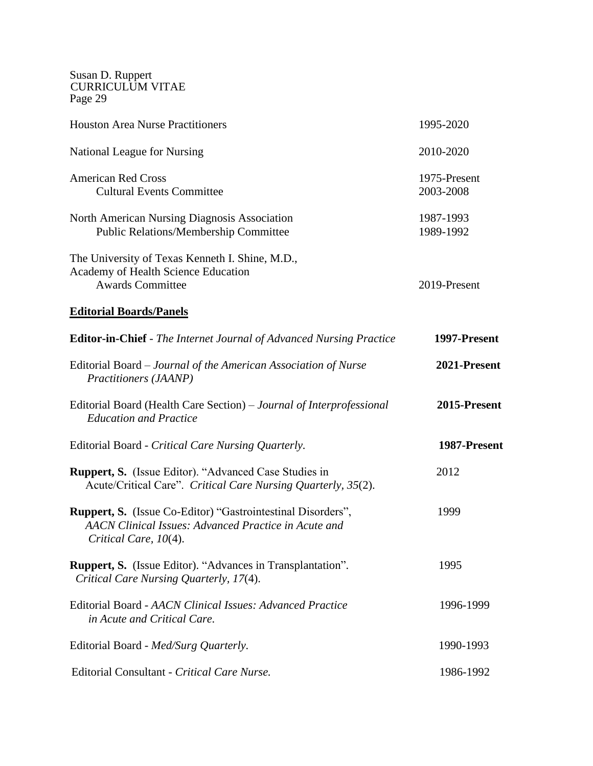| <b>Houston Area Nurse Practitioners</b>                                                                                                             | 1995-2020                 |
|-----------------------------------------------------------------------------------------------------------------------------------------------------|---------------------------|
| National League for Nursing                                                                                                                         | 2010-2020                 |
| <b>American Red Cross</b><br><b>Cultural Events Committee</b>                                                                                       | 1975-Present<br>2003-2008 |
| North American Nursing Diagnosis Association<br><b>Public Relations/Membership Committee</b>                                                        | 1987-1993<br>1989-1992    |
| The University of Texas Kenneth I. Shine, M.D.,<br>Academy of Health Science Education<br><b>Awards Committee</b>                                   | 2019-Present              |
| <b>Editorial Boards/Panels</b>                                                                                                                      |                           |
| <b>Editor-in-Chief</b> - The Internet Journal of Advanced Nursing Practice                                                                          | 1997-Present              |
| Editorial Board – Journal of the American Association of Nurse<br>Practitioners (JAANP)                                                             | 2021-Present              |
| Editorial Board (Health Care Section) – Journal of Interprofessional<br><b>Education and Practice</b>                                               | 2015-Present              |
| Editorial Board - Critical Care Nursing Quarterly.                                                                                                  | 1987-Present              |
| <b>Ruppert, S.</b> (Issue Editor). "Advanced Case Studies in<br>Acute/Critical Care". Critical Care Nursing Quarterly, 35(2).                       | 2012                      |
| <b>Ruppert, S.</b> (Issue Co-Editor) "Gastrointestinal Disorders",<br>AACN Clinical Issues: Advanced Practice in Acute and<br>Critical Care, 10(4). | 1999                      |
| <b>Ruppert, S.</b> (Issue Editor). "Advances in Transplantation".<br>Critical Care Nursing Quarterly, 17(4).                                        | 1995                      |
| Editorial Board - AACN Clinical Issues: Advanced Practice<br>in Acute and Critical Care.                                                            | 1996-1999                 |
| Editorial Board - Med/Surg Quarterly.                                                                                                               | 1990-1993                 |
| Editorial Consultant - Critical Care Nurse.                                                                                                         | 1986-1992                 |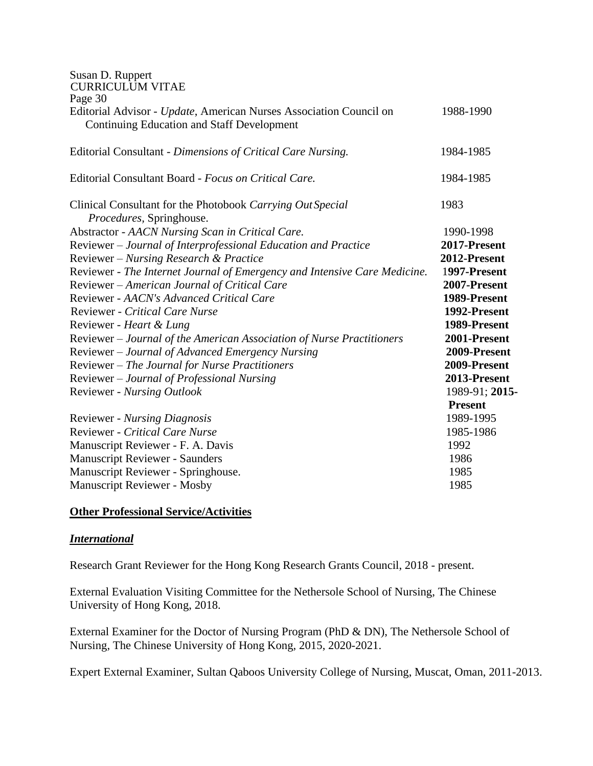| Susan D. Ruppert                                                          |                |
|---------------------------------------------------------------------------|----------------|
| <b>CURRICULUM VITAE</b><br>Page 30                                        |                |
| Editorial Advisor - Update, American Nurses Association Council on        | 1988-1990      |
| <b>Continuing Education and Staff Development</b>                         |                |
| Editorial Consultant - Dimensions of Critical Care Nursing.               | 1984-1985      |
| Editorial Consultant Board - Focus on Critical Care.                      | 1984-1985      |
| Clinical Consultant for the Photobook Carrying Out Special                | 1983           |
| Procedures, Springhouse.                                                  |                |
| Abstractor - AACN Nursing Scan in Critical Care.                          | 1990-1998      |
| Reviewer - Journal of Interprofessional Education and Practice            | 2017-Present   |
| Reviewer - Nursing Research & Practice                                    | 2012-Present   |
| Reviewer - The Internet Journal of Emergency and Intensive Care Medicine. | 1997-Present   |
| Reviewer - American Journal of Critical Care                              | 2007-Present   |
| Reviewer - AACN's Advanced Critical Care                                  | 1989-Present   |
| Reviewer - Critical Care Nurse                                            | 1992-Present   |
| Reviewer - Heart & Lung                                                   | 1989-Present   |
| Reviewer - Journal of the American Association of Nurse Practitioners     | 2001-Present   |
| Reviewer – Journal of Advanced Emergency Nursing                          | 2009-Present   |
| Reviewer - The Journal for Nurse Practitioners                            | 2009-Present   |
| Reviewer - Journal of Professional Nursing                                | 2013-Present   |
| Reviewer - Nursing Outlook                                                | 1989-91; 2015- |
|                                                                           | <b>Present</b> |
| <b>Reviewer</b> - <i>Nursing Diagnosis</i>                                | 1989-1995      |
| <b>Reviewer - Critical Care Nurse</b>                                     | 1985-1986      |
| Manuscript Reviewer - F. A. Davis                                         | 1992           |
| <b>Manuscript Reviewer - Saunders</b>                                     | 1986           |
| Manuscript Reviewer - Springhouse.                                        | 1985           |
| <b>Manuscript Reviewer - Mosby</b>                                        | 1985           |

### **Other Professional Service/Activities**

#### *International*

Research Grant Reviewer for the Hong Kong Research Grants Council, 2018 - present.

External Evaluation Visiting Committee for the Nethersole School of Nursing, The Chinese University of Hong Kong, 2018.

External Examiner for the Doctor of Nursing Program (PhD & DN), The Nethersole School of Nursing, The Chinese University of Hong Kong, 2015, 2020-2021.

Expert External Examiner, Sultan Qaboos University College of Nursing, Muscat, Oman, 2011-2013.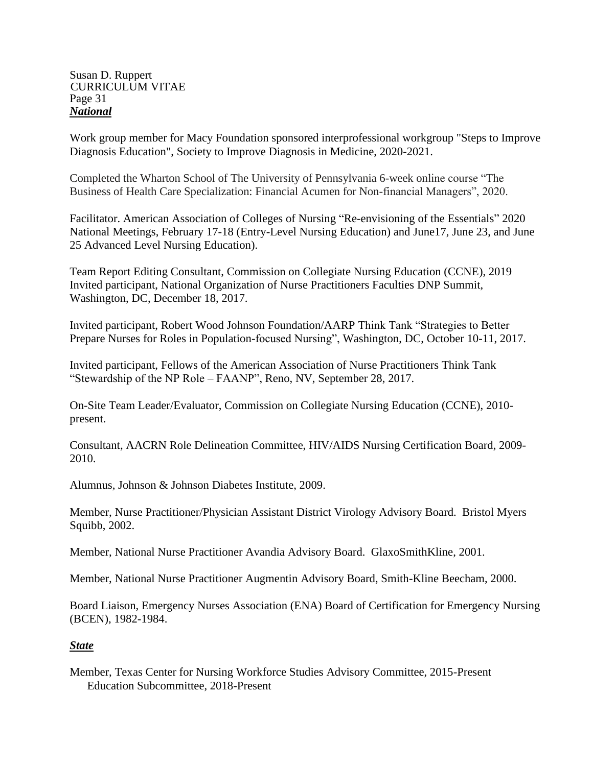#### Susan D. Ruppert CURRICULUM VITAE Page 31 *National*

Work group member for Macy Foundation sponsored interprofessional workgroup "Steps to Improve Diagnosis Education", Society to Improve Diagnosis in Medicine, 2020-2021.

Completed the Wharton School of The University of Pennsylvania 6-week online course "The Business of Health Care Specialization: Financial Acumen for Non-financial Managers", 2020.

Facilitator. American Association of Colleges of Nursing "Re-envisioning of the Essentials" 2020 National Meetings, February 17-18 (Entry-Level Nursing Education) and June17, June 23, and June 25 Advanced Level Nursing Education).

Team Report Editing Consultant, Commission on Collegiate Nursing Education (CCNE), 2019 Invited participant, National Organization of Nurse Practitioners Faculties DNP Summit, Washington, DC, December 18, 2017.

Invited participant, Robert Wood Johnson Foundation/AARP Think Tank "Strategies to Better Prepare Nurses for Roles in Population-focused Nursing", Washington, DC, October 10-11, 2017.

Invited participant, Fellows of the American Association of Nurse Practitioners Think Tank "Stewardship of the NP Role – FAANP", Reno, NV, September 28, 2017.

On-Site Team Leader/Evaluator, Commission on Collegiate Nursing Education (CCNE), 2010 present.

Consultant, AACRN Role Delineation Committee, HIV/AIDS Nursing Certification Board, 2009- 2010.

Alumnus, Johnson & Johnson Diabetes Institute, 2009.

Member, Nurse Practitioner/Physician Assistant District Virology Advisory Board. Bristol Myers Squibb, 2002.

Member, National Nurse Practitioner Avandia Advisory Board. GlaxoSmithKline, 2001.

Member, National Nurse Practitioner Augmentin Advisory Board, Smith-Kline Beecham, 2000.

Board Liaison, Emergency Nurses Association (ENA) Board of Certification for Emergency Nursing (BCEN), 1982-1984.

## *State*

Member, Texas Center for Nursing Workforce Studies Advisory Committee, 2015-Present Education Subcommittee, 2018-Present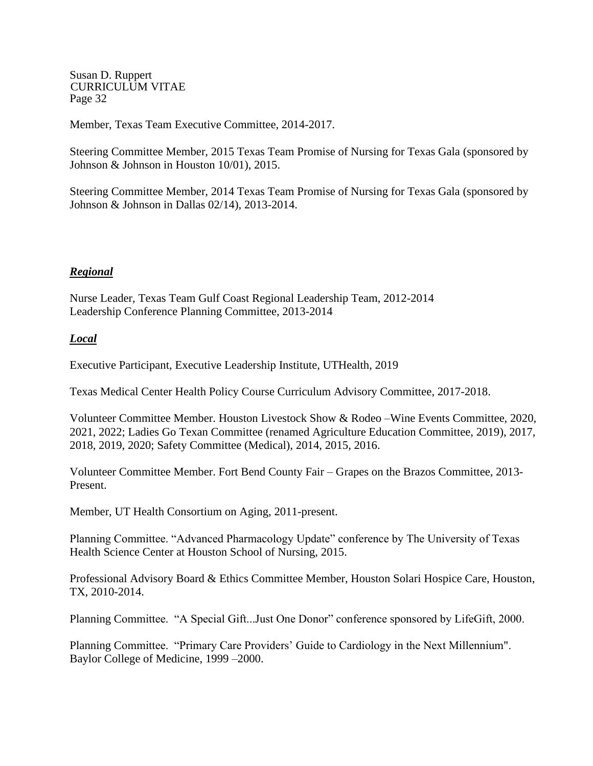Member, Texas Team Executive Committee, 2014-2017.

Steering Committee Member, 2015 Texas Team Promise of Nursing for Texas Gala (sponsored by Johnson & Johnson in Houston 10/01), 2015.

Steering Committee Member, 2014 Texas Team Promise of Nursing for Texas Gala (sponsored by Johnson & Johnson in Dallas 02/14), 2013-2014.

### *Regional*

Nurse Leader, Texas Team Gulf Coast Regional Leadership Team, 2012-2014 Leadership Conference Planning Committee, 2013-2014

### *Local*

Executive Participant, Executive Leadership Institute, UTHealth, 2019

Texas Medical Center Health Policy Course Curriculum Advisory Committee, 2017-2018.

Volunteer Committee Member. Houston Livestock Show & Rodeo –Wine Events Committee, 2020, 2021, 2022; Ladies Go Texan Committee (renamed Agriculture Education Committee, 2019), 2017, 2018, 2019, 2020; Safety Committee (Medical), 2014, 2015, 2016.

Volunteer Committee Member. Fort Bend County Fair – Grapes on the Brazos Committee, 2013- Present.

Member, UT Health Consortium on Aging, 2011-present.

Planning Committee. "Advanced Pharmacology Update" conference by The University of Texas Health Science Center at Houston School of Nursing, 2015.

Professional Advisory Board & Ethics Committee Member, Houston Solari Hospice Care, Houston, TX, 2010-2014.

Planning Committee. "A Special Gift...Just One Donor" conference sponsored by LifeGift, 2000.

Planning Committee. "Primary Care Providers' Guide to Cardiology in the Next Millennium". Baylor College of Medicine, 1999 –2000.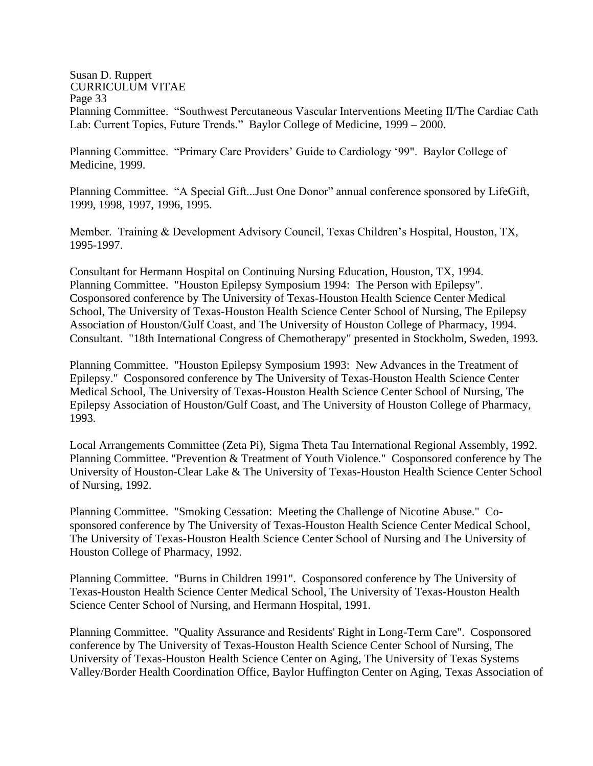#### Susan D. Ruppert CURRICULUM VITAE Page 33 Planning Committee. "Southwest Percutaneous Vascular Interventions Meeting II/The Cardiac Cath Lab: Current Topics, Future Trends." Baylor College of Medicine, 1999 – 2000.

Planning Committee. "Primary Care Providers' Guide to Cardiology '99". Baylor College of Medicine, 1999.

Planning Committee. "A Special Gift...Just One Donor" annual conference sponsored by LifeGift, 1999, 1998, 1997, 1996, 1995.

Member. Training & Development Advisory Council, Texas Children's Hospital, Houston, TX, 1995-1997.

Consultant for Hermann Hospital on Continuing Nursing Education, Houston, TX, 1994. Planning Committee. "Houston Epilepsy Symposium 1994: The Person with Epilepsy". Cosponsored conference by The University of Texas-Houston Health Science Center Medical School, The University of Texas-Houston Health Science Center School of Nursing, The Epilepsy Association of Houston/Gulf Coast, and The University of Houston College of Pharmacy, 1994. Consultant. "18th International Congress of Chemotherapy" presented in Stockholm, Sweden, 1993.

Planning Committee. "Houston Epilepsy Symposium 1993: New Advances in the Treatment of Epilepsy." Cosponsored conference by The University of Texas-Houston Health Science Center Medical School, The University of Texas-Houston Health Science Center School of Nursing, The Epilepsy Association of Houston/Gulf Coast, and The University of Houston College of Pharmacy, 1993.

Local Arrangements Committee (Zeta Pi), Sigma Theta Tau International Regional Assembly, 1992. Planning Committee. "Prevention & Treatment of Youth Violence." Cosponsored conference by The University of Houston-Clear Lake & The University of Texas-Houston Health Science Center School of Nursing, 1992.

Planning Committee. "Smoking Cessation: Meeting the Challenge of Nicotine Abuse." Cosponsored conference by The University of Texas-Houston Health Science Center Medical School, The University of Texas-Houston Health Science Center School of Nursing and The University of Houston College of Pharmacy, 1992.

Planning Committee. "Burns in Children 1991". Cosponsored conference by The University of Texas-Houston Health Science Center Medical School, The University of Texas-Houston Health Science Center School of Nursing, and Hermann Hospital, 1991.

Planning Committee. "Quality Assurance and Residents' Right in Long-Term Care". Cosponsored conference by The University of Texas-Houston Health Science Center School of Nursing, The University of Texas-Houston Health Science Center on Aging, The University of Texas Systems Valley/Border Health Coordination Office, Baylor Huffington Center on Aging, Texas Association of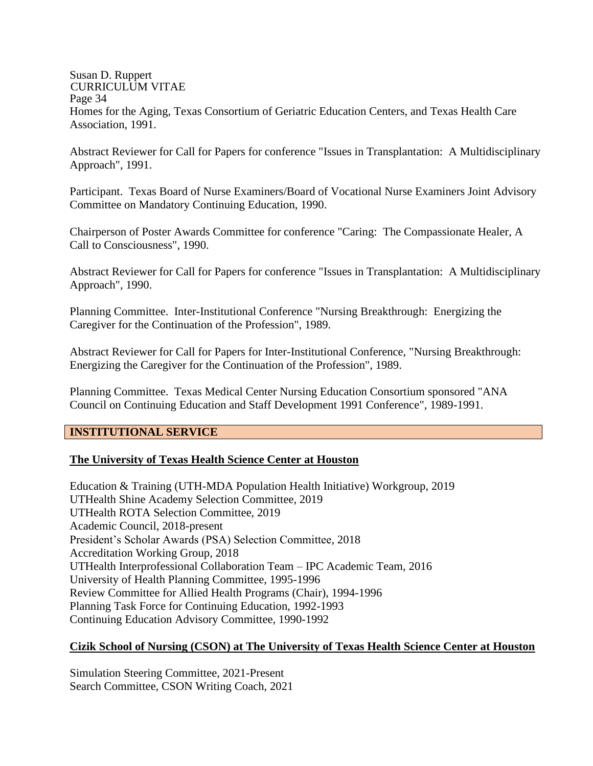#### Susan D. Ruppert CURRICULUM VITAE Page 34 Homes for the Aging, Texas Consortium of Geriatric Education Centers, and Texas Health Care Association, 1991.

Abstract Reviewer for Call for Papers for conference "Issues in Transplantation: A Multidisciplinary Approach", 1991.

Participant. Texas Board of Nurse Examiners/Board of Vocational Nurse Examiners Joint Advisory Committee on Mandatory Continuing Education, 1990.

Chairperson of Poster Awards Committee for conference "Caring: The Compassionate Healer, A Call to Consciousness", 1990.

Abstract Reviewer for Call for Papers for conference "Issues in Transplantation: A Multidisciplinary Approach", 1990.

Planning Committee. Inter-Institutional Conference "Nursing Breakthrough: Energizing the Caregiver for the Continuation of the Profession", 1989.

Abstract Reviewer for Call for Papers for Inter-Institutional Conference, "Nursing Breakthrough: Energizing the Caregiver for the Continuation of the Profession", 1989.

Planning Committee. Texas Medical Center Nursing Education Consortium sponsored "ANA Council on Continuing Education and Staff Development 1991 Conference", 1989-1991.

#### **INSTITUTIONAL SERVICE**

## **The University of Texas Health Science Center at Houston**

Education & Training (UTH-MDA Population Health Initiative) Workgroup, 2019 UTHealth Shine Academy Selection Committee, 2019 UTHealth ROTA Selection Committee, 2019 Academic Council, 2018-present President's Scholar Awards (PSA) Selection Committee, 2018 Accreditation Working Group, 2018 UTHealth Interprofessional Collaboration Team – IPC Academic Team, 2016 University of Health Planning Committee, 1995-1996 Review Committee for Allied Health Programs (Chair), 1994-1996 Planning Task Force for Continuing Education, 1992-1993 Continuing Education Advisory Committee, 1990-1992

## **Cizik School of Nursing (CSON) at The University of Texas Health Science Center at Houston**

Simulation Steering Committee, 2021-Present Search Committee, CSON Writing Coach, 2021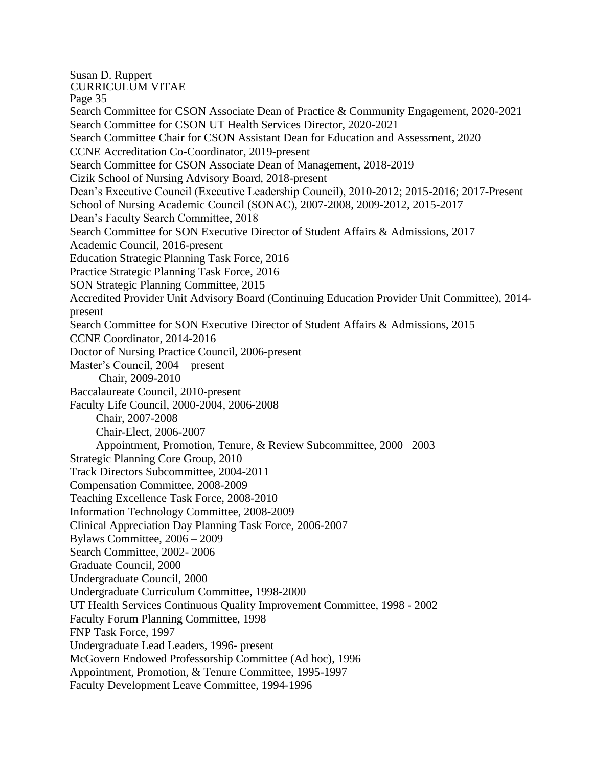Susan D. Ruppert CURRICULUM VITAE Page 35 Search Committee for CSON Associate Dean of Practice & Community Engagement, 2020-2021 Search Committee for CSON UT Health Services Director, 2020-2021 Search Committee Chair for CSON Assistant Dean for Education and Assessment, 2020 CCNE Accreditation Co-Coordinator, 2019-present Search Committee for CSON Associate Dean of Management, 2018-2019 Cizik School of Nursing Advisory Board, 2018-present Dean's Executive Council (Executive Leadership Council), 2010-2012; 2015-2016; 2017-Present School of Nursing Academic Council (SONAC), 2007-2008, 2009-2012, 2015-2017 Dean's Faculty Search Committee, 2018 Search Committee for SON Executive Director of Student Affairs & Admissions, 2017 Academic Council, 2016-present Education Strategic Planning Task Force, 2016 Practice Strategic Planning Task Force, 2016 SON Strategic Planning Committee, 2015 Accredited Provider Unit Advisory Board (Continuing Education Provider Unit Committee), 2014 present Search Committee for SON Executive Director of Student Affairs & Admissions, 2015 CCNE Coordinator, 2014-2016 Doctor of Nursing Practice Council, 2006-present Master's Council, 2004 – present Chair, 2009-2010 Baccalaureate Council, 2010-present Faculty Life Council, 2000-2004, 2006-2008 Chair, 2007-2008 Chair-Elect, 2006-2007 Appointment, Promotion, Tenure, & Review Subcommittee, 2000 –2003 Strategic Planning Core Group, 2010 Track Directors Subcommittee, 2004-2011 Compensation Committee, 2008-2009 Teaching Excellence Task Force, 2008-2010 Information Technology Committee, 2008-2009 Clinical Appreciation Day Planning Task Force, 2006-2007 Bylaws Committee, 2006 – 2009 Search Committee, 2002- 2006 Graduate Council, 2000 Undergraduate Council, 2000 Undergraduate Curriculum Committee, 1998-2000 UT Health Services Continuous Quality Improvement Committee, 1998 - 2002 Faculty Forum Planning Committee, 1998 FNP Task Force, 1997 Undergraduate Lead Leaders, 1996- present McGovern Endowed Professorship Committee (Ad hoc), 1996 Appointment, Promotion, & Tenure Committee, 1995-1997 Faculty Development Leave Committee, 1994-1996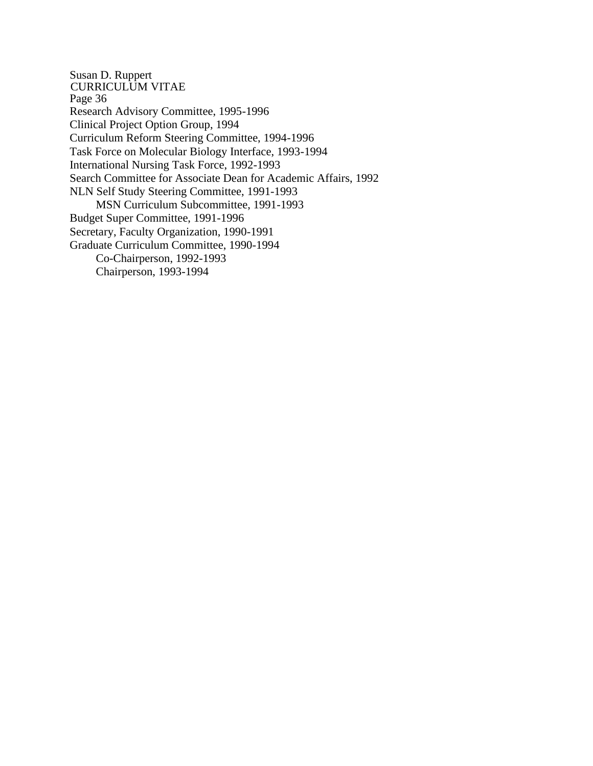Susan D. Ruppert CURRICULUM VITAE Page 36 Research Advisory Committee, 1995-1996 Clinical Project Option Group, 1994 Curriculum Reform Steering Committee, 1994-1996 Task Force on Molecular Biology Interface, 1993-1994 International Nursing Task Force, 1992-1993 Search Committee for Associate Dean for Academic Affairs, 1992 NLN Self Study Steering Committee, 1991-1993 MSN Curriculum Subcommittee, 1991-1993 Budget Super Committee, 1991-1996 Secretary, Faculty Organization, 1990-1991 Graduate Curriculum Committee, 1990-1994 Co-Chairperson, 1992-1993 Chairperson, 1993-1994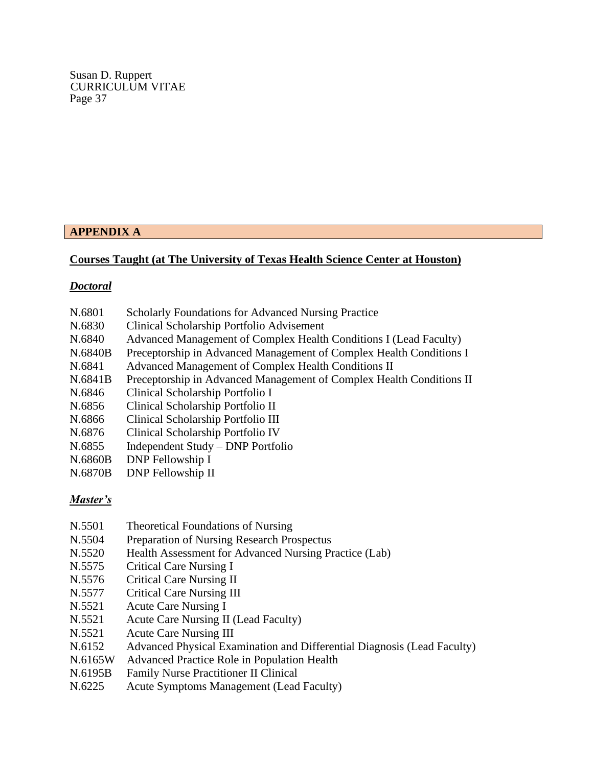## **APPENDIX A**

### **Courses Taught (at The University of Texas Health Science Center at Houston)**

#### *Doctoral*

| N.6801<br><b>Scholarly Foundations for Advanced Nursing Practice</b> |
|----------------------------------------------------------------------|
|----------------------------------------------------------------------|

- N.6830 Clinical Scholarship Portfolio Advisement
- N.6840 Advanced Management of Complex Health Conditions I (Lead Faculty)
- N.6840B Preceptorship in Advanced Management of Complex Health Conditions I
- N.6841 Advanced Management of Complex Health Conditions II
- N.6841B Preceptorship in Advanced Management of Complex Health Conditions II
- N.6846 Clinical Scholarship Portfolio I
- N.6856 Clinical Scholarship Portfolio II
- N.6866 Clinical Scholarship Portfolio III
- N.6876 Clinical Scholarship Portfolio IV
- N.6855 Independent Study DNP Portfolio
- N.6860B DNP Fellowship I
- N.6870B DNP Fellowship II

#### *Master's*

- N.5501 Theoretical Foundations of Nursing
- N.5504 Preparation of Nursing Research Prospectus
- N.5520 Health Assessment for Advanced Nursing Practice (Lab)
- N.5575 Critical Care Nursing I
- N.5576 Critical Care Nursing II
- N.5577 Critical Care Nursing III
- N.5521 Acute Care Nursing I
- N.5521 Acute Care Nursing II (Lead Faculty)
- N.5521 Acute Care Nursing III
- N.6152 Advanced Physical Examination and Differential Diagnosis (Lead Faculty)
- N.6165W Advanced Practice Role in Population Health
- N.6195B Family Nurse Practitioner II Clinical
- N.6225 Acute Symptoms Management (Lead Faculty)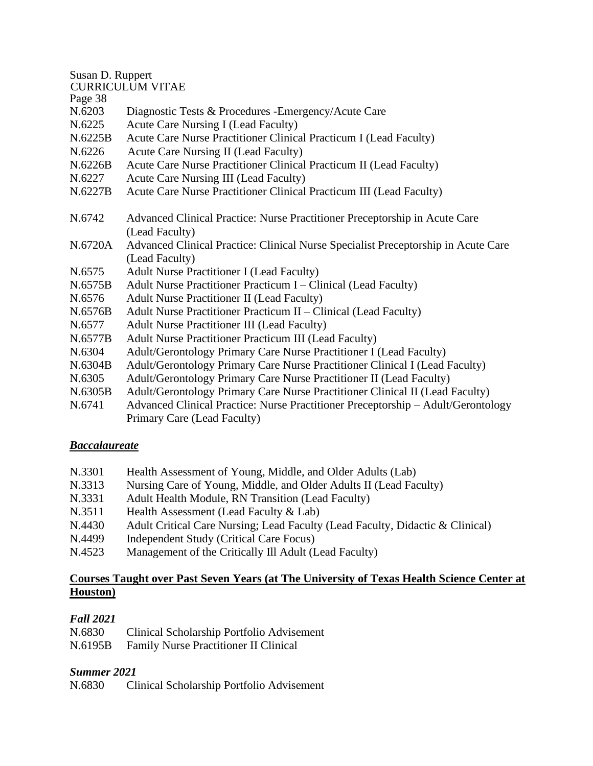Susan D. Ruppert

|         | <b>CURRICULUM VITAE</b>                                                                                                         |
|---------|---------------------------------------------------------------------------------------------------------------------------------|
| Page 38 |                                                                                                                                 |
| N.6203  | Diagnostic Tests & Procedures - Emergency/Acute Care                                                                            |
| N.6225  | Acute Care Nursing I (Lead Faculty)                                                                                             |
| N.6225B | Acute Care Nurse Practitioner Clinical Practicum I (Lead Faculty)                                                               |
| N.6226  | Acute Care Nursing II (Lead Faculty)                                                                                            |
| N.6226B | Acute Care Nurse Practitioner Clinical Practicum II (Lead Faculty)                                                              |
| N.6227  | Acute Care Nursing III (Lead Faculty)                                                                                           |
| N.6227B | Acute Care Nurse Practitioner Clinical Practicum III (Lead Faculty)                                                             |
| N.6742  | Advanced Clinical Practice: Nurse Practitioner Preceptorship in Acute Care                                                      |
|         | (Lead Faculty)                                                                                                                  |
| N.6720A | Advanced Clinical Practice: Clinical Nurse Specialist Preceptorship in Acute<br>$(I_{\text{ood}} E_{\text{out}} _{\text{tot}})$ |

- N.6720A Advanced Clinical Practice: Clinical Nurse Specialist Preceptorship in Acute Care (Lead Faculty)
- N.6575 Adult Nurse Practitioner I (Lead Faculty)
- N.6575B Adult Nurse Practitioner Practicum I Clinical (Lead Faculty)
- N.6576 Adult Nurse Practitioner II (Lead Faculty)
- N.6576B Adult Nurse Practitioner Practicum II Clinical (Lead Faculty)
- N.6577 Adult Nurse Practitioner III (Lead Faculty)
- N.6577B Adult Nurse Practitioner Practicum III (Lead Faculty)
- N.6304 Adult/Gerontology Primary Care Nurse Practitioner I (Lead Faculty)
- N.6304B Adult/Gerontology Primary Care Nurse Practitioner Clinical I (Lead Faculty)
- N.6305 Adult/Gerontology Primary Care Nurse Practitioner II (Lead Faculty)
- N.6305B Adult/Gerontology Primary Care Nurse Practitioner Clinical II (Lead Faculty)
- N.6741 Advanced Clinical Practice: Nurse Practitioner Preceptorship Adult/Gerontology Primary Care (Lead Faculty)

## *Baccalaureate*

- N.3301 Health Assessment of Young, Middle, and Older Adults (Lab)
- N.3313 Nursing Care of Young, Middle, and Older Adults II (Lead Faculty)
- N.3331 Adult Health Module, RN Transition (Lead Faculty)
- N.3511 Health Assessment (Lead Faculty & Lab)
- N.4430 Adult Critical Care Nursing; Lead Faculty (Lead Faculty, Didactic & Clinical)
- N.4499 Independent Study (Critical Care Focus)
- N.4523 Management of the Critically Ill Adult (Lead Faculty)

## **Courses Taught over Past Seven Years (at The University of Texas Health Science Center at Houston)**

# *Fall 2021*

| N.6830  | Clinical Scholarship Portfolio Advisement    |
|---------|----------------------------------------------|
| N.6195B | <b>Family Nurse Practitioner II Clinical</b> |

# *Summer 2021*

N.6830 Clinical Scholarship Portfolio Advisement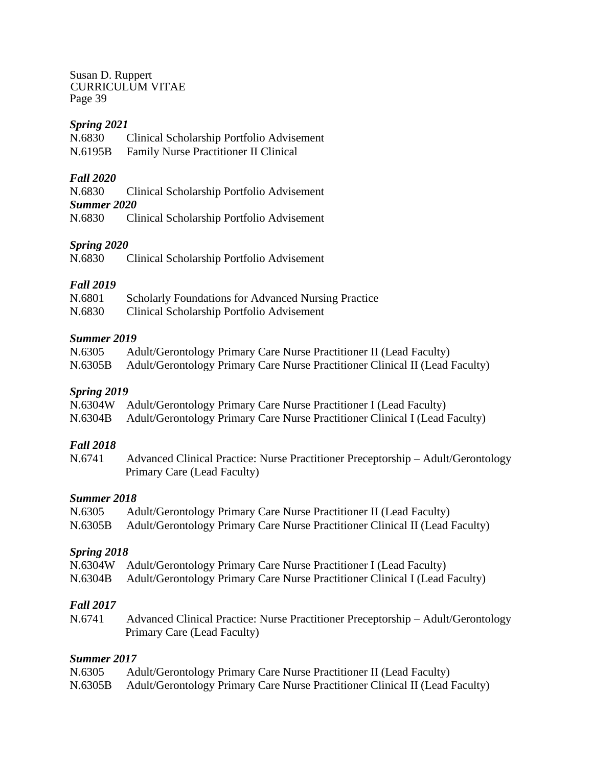### *Spring 2021*

N.6830 Clinical Scholarship Portfolio Advisement

N.6195B Family Nurse Practitioner II Clinical

### *Fall 2020*

N.6830 Clinical Scholarship Portfolio Advisement

*Summer 2020*

N.6830 Clinical Scholarship Portfolio Advisement

## *Spring 2020*

N.6830 Clinical Scholarship Portfolio Advisement

## *Fall 2019*

| N.6801                                                                        | <b>Scholarly Foundations for Advanced Nursing Practice</b> |  |
|-------------------------------------------------------------------------------|------------------------------------------------------------|--|
| $\mathbf{1}$ $\mathbf{1}$ $\mathbf{2}$ $\mathbf{0}$ $\mathbf{2}$ $\mathbf{0}$ |                                                            |  |

N.6830 Clinical Scholarship Portfolio Advisement

### *Summer 2019*

| N.6305  | Adult/Gerontology Primary Care Nurse Practitioner II (Lead Faculty)          |
|---------|------------------------------------------------------------------------------|
| N.6305B | Adult/Gerontology Primary Care Nurse Practitioner Clinical II (Lead Faculty) |

## *Spring 2019*

N.6304B Adult/Gerontology Primary Care Nurse Practitioner Clinical I (Lead Faculty)

## *Fall 2018*

N.6741 Advanced Clinical Practice: Nurse Practitioner Preceptorship – Adult/Gerontology Primary Care (Lead Faculty)

#### *Summer 2018*

| N.6305  | Adult/Gerontology Primary Care Nurse Practitioner II (Lead Faculty)          |
|---------|------------------------------------------------------------------------------|
| N.6305B | Adult/Gerontology Primary Care Nurse Practitioner Clinical II (Lead Faculty) |

## *Spring 2018*

|  | N.6304W Adult/Gerontology Primary Care Nurse Practitioner I (Lead Faculty) |  |  |  |
|--|----------------------------------------------------------------------------|--|--|--|
|--|----------------------------------------------------------------------------|--|--|--|

N.6304B Adult/Gerontology Primary Care Nurse Practitioner Clinical I (Lead Faculty)

## *Fall 2017*

N.6741 Advanced Clinical Practice: Nurse Practitioner Preceptorship – Adult/Gerontology Primary Care (Lead Faculty)

### *Summer 2017*

| N.6305  | Adult/Gerontology Primary Care Nurse Practitioner II (Lead Faculty)          |
|---------|------------------------------------------------------------------------------|
| N.6305B | Adult/Gerontology Primary Care Nurse Practitioner Clinical II (Lead Faculty) |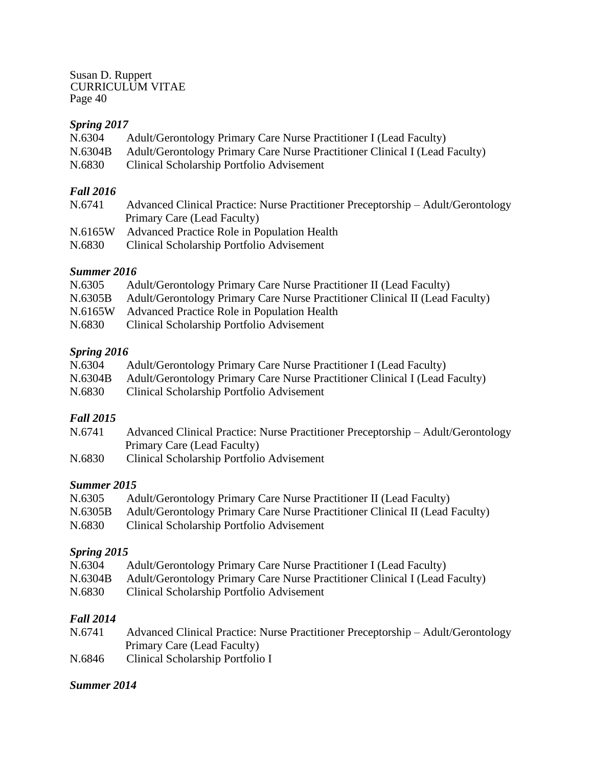## *Spring 2017*

| N.6304  | Adult/Gerontology Primary Care Nurse Practitioner I (Lead Faculty)          |
|---------|-----------------------------------------------------------------------------|
| N.6304B | Adult/Gerontology Primary Care Nurse Practitioner Clinical I (Lead Faculty) |
| N.6830  | Clinical Scholarship Portfolio Advisement                                   |

## *Fall 2016*

| N.6741  | Advanced Clinical Practice: Nurse Practitioner Preceptorship – Adult/Gerontology |
|---------|----------------------------------------------------------------------------------|
|         | Primary Care (Lead Faculty)                                                      |
| N.6165W | Advanced Practice Role in Population Health                                      |
| N.6830  | Clinical Scholarship Portfolio Advisement                                        |

## *Summer 2016*

| N.6305  | Adult/Gerontology Primary Care Nurse Practitioner II (Lead Faculty)          |
|---------|------------------------------------------------------------------------------|
| N.6305B | Adult/Gerontology Primary Care Nurse Practitioner Clinical II (Lead Faculty) |
| N.6165W | Advanced Practice Role in Population Health                                  |
| N.6830  | Clinical Scholarship Portfolio Advisement                                    |

## *Spring 2016*

| N.6304  | Adult/Gerontology Primary Care Nurse Practitioner I (Lead Faculty)          |
|---------|-----------------------------------------------------------------------------|
| N.6304B | Adult/Gerontology Primary Care Nurse Practitioner Clinical I (Lead Faculty) |
| N.6830  | Clinical Scholarship Portfolio Advisement                                   |

## *Fall 2015*

| N.6741 | Advanced Clinical Practice: Nurse Practitioner Preceptorship – Adult/Gerontology |
|--------|----------------------------------------------------------------------------------|
|        | Primary Care (Lead Faculty)                                                      |

N.6830 Clinical Scholarship Portfolio Advisement

## *Summer 2015*

| N.6305  | Adult/Gerontology Primary Care Nurse Practitioner II (Lead Faculty)          |
|---------|------------------------------------------------------------------------------|
| N.6305B | Adult/Gerontology Primary Care Nurse Practitioner Clinical II (Lead Faculty) |
| N.6830  | Clinical Scholarship Portfolio Advisement                                    |

## *Spring 2015*

| N.6304  | Adult/Gerontology Primary Care Nurse Practitioner I (Lead Faculty)          |
|---------|-----------------------------------------------------------------------------|
| N.6304B | Adult/Gerontology Primary Care Nurse Practitioner Clinical I (Lead Faculty) |

N.6830 Clinical Scholarship Portfolio Advisement

## *Fall 2014*

| N.6741 | Advanced Clinical Practice: Nurse Practitioner Preceptorship – Adult/Gerontology |
|--------|----------------------------------------------------------------------------------|
|        | Primary Care (Lead Faculty)                                                      |
| N.6846 | Clinical Scholarship Portfolio I                                                 |

## *Summer 2014*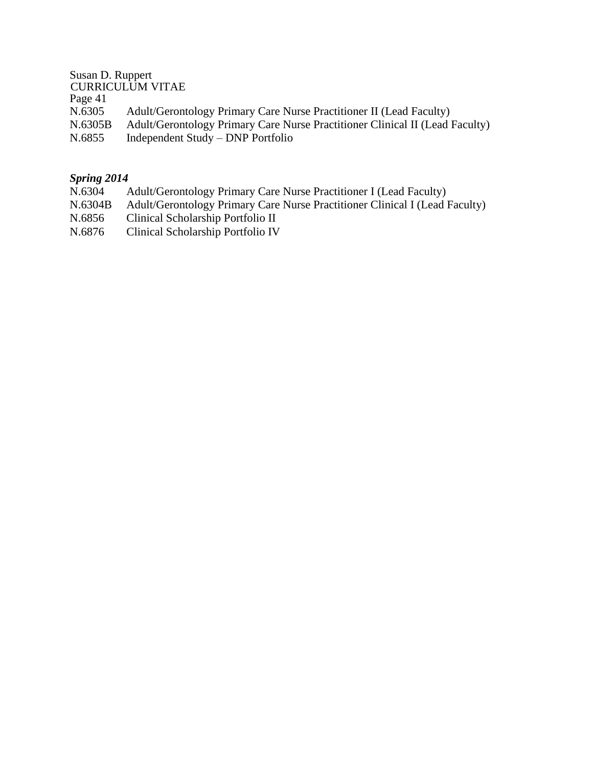Susan D. Ruppert CURRICULUM VITAE Page 41 N.6305 Adult/Gerontology Primary Care Nurse Practitioner II (Lead Faculty) N.6305B Adult/Gerontology Primary Care Nurse Practitioner Clinical II (Lead Faculty) N.6855 Independent Study – DNP Portfolio

## *Spring 2014*

- N.6304 Adult/Gerontology Primary Care Nurse Practitioner I (Lead Faculty)
- N.6304B Adult/Gerontology Primary Care Nurse Practitioner Clinical I (Lead Faculty)
- N.6856 Clinical Scholarship Portfolio II
- N.6876 Clinical Scholarship Portfolio IV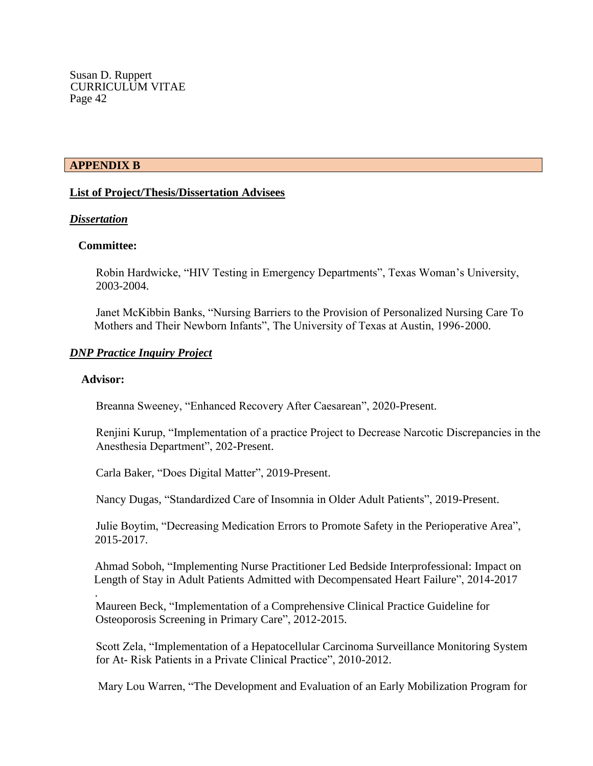#### **APPENDIX B**

#### **List of Project/Thesis/Dissertation Advisees**

#### *Dissertation*

#### **Committee:**

Robin Hardwicke, "HIV Testing in Emergency Departments", Texas Woman's University, 2003-2004.

Janet McKibbin Banks, "Nursing Barriers to the Provision of Personalized Nursing Care To Mothers and Their Newborn Infants", The University of Texas at Austin, 1996-2000.

#### *DNP Practice Inquiry Project*

#### **Advisor:**

.

Breanna Sweeney, "Enhanced Recovery After Caesarean", 2020-Present.

 Renjini Kurup, "Implementation of a practice Project to Decrease Narcotic Discrepancies in the Anesthesia Department", 202-Present.

Carla Baker, "Does Digital Matter", 2019-Present.

Nancy Dugas, "Standardized Care of Insomnia in Older Adult Patients", 2019-Present.

Julie Boytim, "Decreasing Medication Errors to Promote Safety in the Perioperative Area", 2015-2017.

Ahmad Soboh, "Implementing Nurse Practitioner Led Bedside Interprofessional: Impact on Length of Stay in Adult Patients Admitted with Decompensated Heart Failure", 2014-2017

Maureen Beck, "Implementation of a Comprehensive Clinical Practice Guideline for Osteoporosis Screening in Primary Care", 2012-2015.

 Scott Zela, "Implementation of a Hepatocellular Carcinoma Surveillance Monitoring System for At- Risk Patients in a Private Clinical Practice", 2010-2012.

Mary Lou Warren, "The Development and Evaluation of an Early Mobilization Program for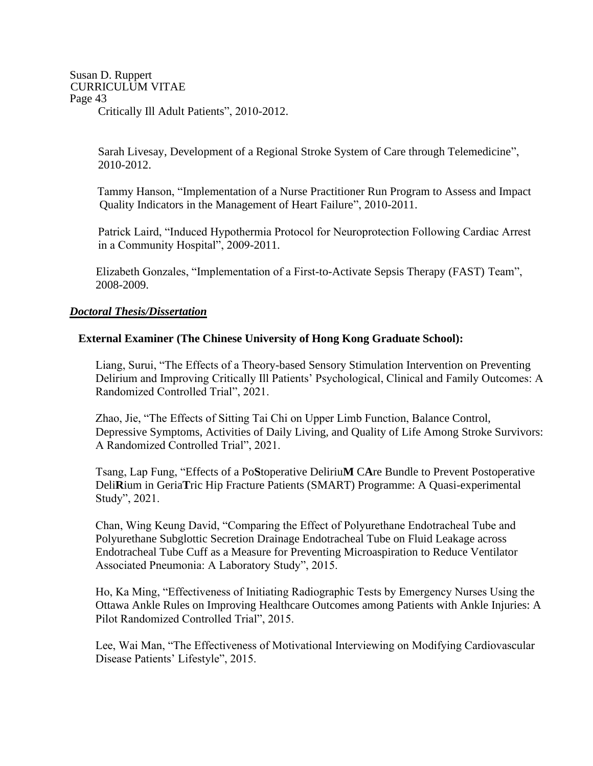Susan D. Ruppert CURRICULUM VITAE Page 43 Critically Ill Adult Patients", 2010-2012.

> Sarah Livesay, Development of a Regional Stroke System of Care through Telemedicine", 2010-2012.

Tammy Hanson, "Implementation of a Nurse Practitioner Run Program to Assess and Impact Quality Indicators in the Management of Heart Failure", 2010-2011.

 Patrick Laird, "Induced Hypothermia Protocol for Neuroprotection Following Cardiac Arrest in a Community Hospital", 2009-2011.

Elizabeth Gonzales, "Implementation of a First-to-Activate Sepsis Therapy (FAST) Team", 2008-2009.

### *Doctoral Thesis/Dissertation*

### **External Examiner (The Chinese University of Hong Kong Graduate School):**

Liang, Surui, "The Effects of a Theory-based Sensory Stimulation Intervention on Preventing Delirium and Improving Critically Ill Patients' Psychological, Clinical and Family Outcomes: A Randomized Controlled Trial", 2021.

Zhao, Jie, "The Effects of Sitting Tai Chi on Upper Limb Function, Balance Control, Depressive Symptoms, Activities of Daily Living, and Quality of Life Among Stroke Survivors: A Randomized Controlled Trial", 2021.

Tsang, Lap Fung, "Effects of a Po**S**toperative Deliriu**M** C**A**re Bundle to Prevent Postoperative Deli**R**ium in Geria**T**ric Hip Fracture Patients (SMART) Programme: A Quasi-experimental Study", 2021.

Chan, Wing Keung David, "Comparing the Effect of Polyurethane Endotracheal Tube and Polyurethane Subglottic Secretion Drainage Endotracheal Tube on Fluid Leakage across Endotracheal Tube Cuff as a Measure for Preventing Microaspiration to Reduce Ventilator Associated Pneumonia: A Laboratory Study", 2015.

Ho, Ka Ming, "Effectiveness of Initiating Radiographic Tests by Emergency Nurses Using the Ottawa Ankle Rules on Improving Healthcare Outcomes among Patients with Ankle Injuries: A Pilot Randomized Controlled Trial", 2015.

Lee, Wai Man, "The Effectiveness of Motivational Interviewing on Modifying Cardiovascular Disease Patients' Lifestyle", 2015.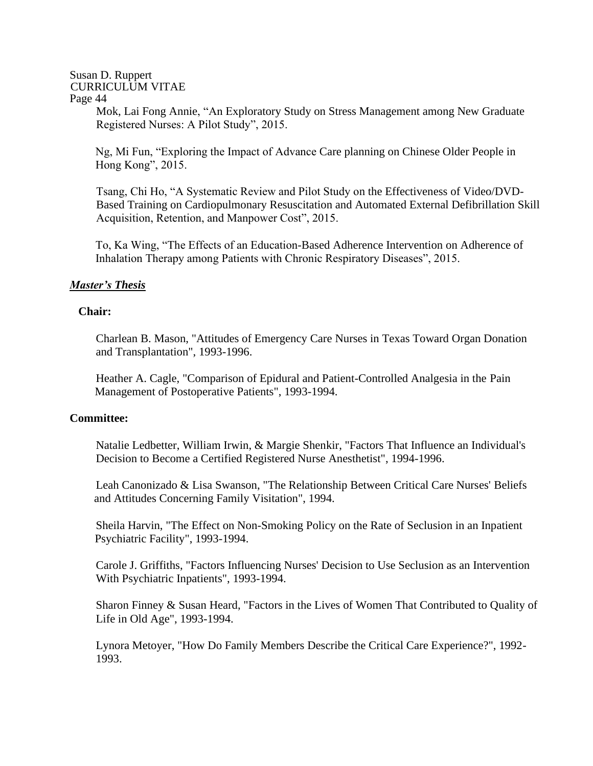Mok, Lai Fong Annie, "An Exploratory Study on Stress Management among New Graduate Registered Nurses: A Pilot Study", 2015.

Ng, Mi Fun, "Exploring the Impact of Advance Care planning on Chinese Older People in Hong Kong", 2015.

Tsang, Chi Ho, "A Systematic Review and Pilot Study on the Effectiveness of Video/DVD-Based Training on Cardiopulmonary Resuscitation and Automated External Defibrillation Skill Acquisition, Retention, and Manpower Cost", 2015.

To, Ka Wing, "The Effects of an Education-Based Adherence Intervention on Adherence of Inhalation Therapy among Patients with Chronic Respiratory Diseases", 2015.

### *Master's Thesis*

### **Chair:**

Charlean B. Mason, "Attitudes of Emergency Care Nurses in Texas Toward Organ Donation and Transplantation", 1993-1996.

Heather A. Cagle, "Comparison of Epidural and Patient-Controlled Analgesia in the Pain Management of Postoperative Patients", 1993-1994.

#### **Committee:**

Natalie Ledbetter, William Irwin, & Margie Shenkir, "Factors That Influence an Individual's Decision to Become a Certified Registered Nurse Anesthetist", 1994-1996.

Leah Canonizado & Lisa Swanson, "The Relationship Between Critical Care Nurses' Beliefs and Attitudes Concerning Family Visitation", 1994.

Sheila Harvin, "The Effect on Non-Smoking Policy on the Rate of Seclusion in an Inpatient Psychiatric Facility", 1993-1994.

Carole J. Griffiths, "Factors Influencing Nurses' Decision to Use Seclusion as an Intervention With Psychiatric Inpatients", 1993-1994.

Sharon Finney & Susan Heard, "Factors in the Lives of Women That Contributed to Quality of Life in Old Age", 1993-1994.

Lynora Metoyer, "How Do Family Members Describe the Critical Care Experience?", 1992- 1993.